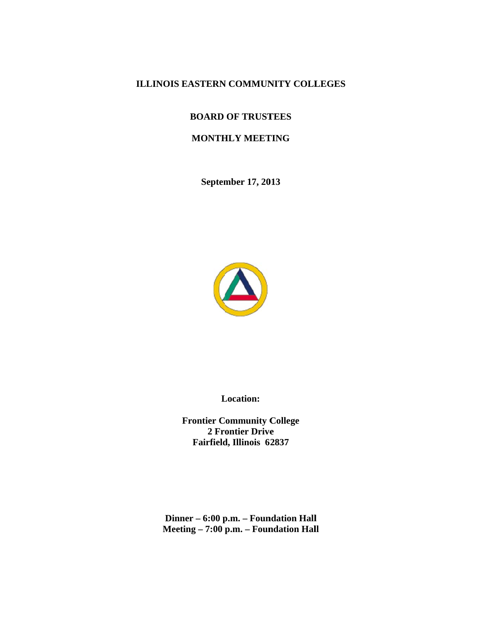# **ILLINOIS EASTERN COMMUNITY COLLEGES**

## **BOARD OF TRUSTEES**

## **MONTHLY MEETING**

**September 17, 2013** 



**L Location:** 

**Frontier C ommunity C College 2 Frontier Drive Fairfield d, Illinois 6 2837** 

**Dinner – 6:00 p.m. – Foundation Hall**  $M$ eeting – 7:00 p.m. – Foundation Hal **ll**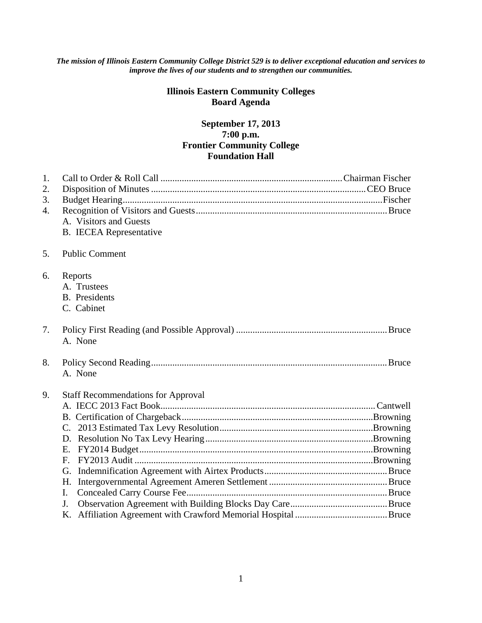#### *The mission of Illinois Eastern Community College District 529 is to deliver exceptional education and services to improve the lives of our students and to strengthen our communities.*

# **Illinois Eastern Community Colleges Board Agenda**

# **September 17, 2013 7:00 p.m. Frontier Community College Foundation Hall**

| 1.<br>2.<br>3.<br>4. | A. Visitors and Guests<br><b>B.</b> IECEA Representative                            |
|----------------------|-------------------------------------------------------------------------------------|
| 5.                   | <b>Public Comment</b>                                                               |
| 6.                   | Reports<br>A. Trustees<br><b>B.</b> Presidents<br>C. Cabinet                        |
| 7.                   | A. None                                                                             |
| 8.                   | A. None                                                                             |
| 9.                   | <b>Staff Recommendations for Approval</b><br>F <sub>r</sub><br>G.<br>H.<br>I.<br>J. |
|                      |                                                                                     |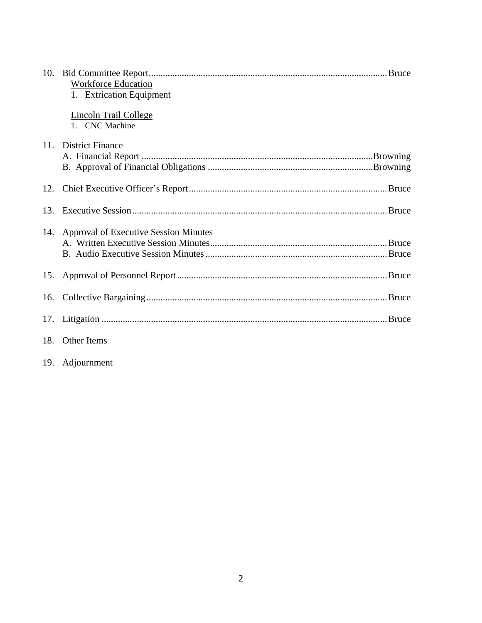|     | <b>Workforce Education</b>                     |
|-----|------------------------------------------------|
|     | 1. Extrication Equipment                       |
|     | <b>Lincoln Trail College</b><br>1. CNC Machine |
|     | 11. District Finance                           |
|     |                                                |
|     |                                                |
|     |                                                |
|     |                                                |
|     |                                                |
| 13. |                                                |
|     |                                                |
|     | 14. Approval of Executive Session Minutes      |
|     |                                                |
|     |                                                |
|     |                                                |
|     |                                                |
|     |                                                |
|     |                                                |
|     |                                                |
|     |                                                |
|     |                                                |
|     | 18. Other Items                                |
|     |                                                |

19. Adjournment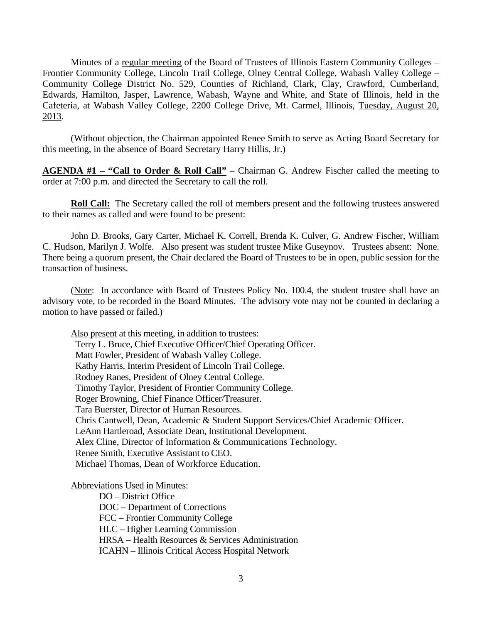Minutes of a regular meeting of the Board of Trustees of Illinois Eastern Community Colleges – Frontier Community College, Lincoln Trail College, Olney Central College, Wabash Valley College – Community College District No. 529, Counties of Richland, Clark, Clay, Crawford, Cumberland, Edwards, Hamilton, Jasper, Lawrence, Wabash, Wayne and White, and State of Illinois, held in the Cafeteria, at Wabash Valley College, 2200 College Drive, Mt. Carmel, Illinois, Tuesday, August 20, 2013.

 (Without objection, the Chairman appointed Renee Smith to serve as Acting Board Secretary for this meeting, in the absence of Board Secretary Harry Hillis, Jr.)

**AGENDA #1 – "Call to Order & Roll Call"** – Chairman G. Andrew Fischer called the meeting to order at 7:00 p.m. and directed the Secretary to call the roll.

**Roll Call:** The Secretary called the roll of members present and the following trustees answered to their names as called and were found to be present:

 John D. Brooks, Gary Carter, Michael K. Correll, Brenda K. Culver, G. Andrew Fischer, William C. Hudson, Marilyn J. Wolfe. Also present was student trustee Mike Guseynov. Trustees absent: None. There being a quorum present, the Chair declared the Board of Trustees to be in open, public session for the transaction of business.

 (Note: In accordance with Board of Trustees Policy No. 100.4, the student trustee shall have an advisory vote, to be recorded in the Board Minutes. The advisory vote may not be counted in declaring a motion to have passed or failed.)

 Also present at this meeting, in addition to trustees: Terry L. Bruce, Chief Executive Officer/Chief Operating Officer. Matt Fowler, President of Wabash Valley College. Kathy Harris, Interim President of Lincoln Trail College. Rodney Ranes, President of Olney Central College. Timothy Taylor, President of Frontier Community College. Roger Browning, Chief Finance Officer/Treasurer. Tara Buerster, Director of Human Resources. Chris Cantwell, Dean, Academic & Student Support Services/Chief Academic Officer. LeAnn Hartleroad, Associate Dean, Institutional Development. Alex Cline, Director of Information & Communications Technology. Renee Smith, Executive Assistant to CEO. Michael Thomas, Dean of Workforce Education.

Abbreviations Used in Minutes:

 DO – District Office DOC – Department of Corrections FCC – Frontier Community College HLC – Higher Learning Commission HRSA – Health Resources & Services Administration ICAHN – Illinois Critical Access Hospital Network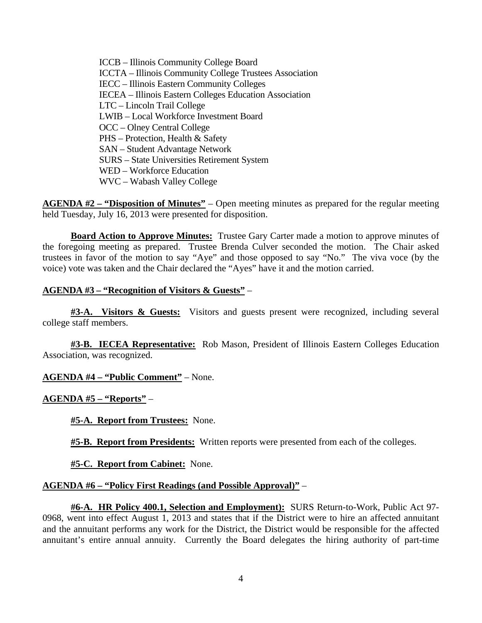ICCB – Illinois Community College Board ICCTA – Illinois Community College Trustees Association IECC – Illinois Eastern Community Colleges IECEA – Illinois Eastern Colleges Education Association LTC – Lincoln Trail College LWIB – Local Workforce Investment Board OCC – Olney Central College PHS – Protection, Health & Safety SAN – Student Advantage Network SURS – State Universities Retirement System WED – Workforce Education WVC – Wabash Valley College

**AGENDA #2 – "Disposition of Minutes"** – Open meeting minutes as prepared for the regular meeting held Tuesday, July 16, 2013 were presented for disposition.

**Board Action to Approve Minutes:** Trustee Gary Carter made a motion to approve minutes of the foregoing meeting as prepared. Trustee Brenda Culver seconded the motion. The Chair asked trustees in favor of the motion to say "Aye" and those opposed to say "No." The viva voce (by the voice) vote was taken and the Chair declared the "Ayes" have it and the motion carried.

## **AGENDA #3 – "Recognition of Visitors & Guests"** –

**#3-A. Visitors & Guests:** Visitors and guests present were recognized, including several college staff members.

**#3-B. IECEA Representative:** Rob Mason, President of Illinois Eastern Colleges Education Association, was recognized.

**AGENDA #4 – "Public Comment"** – None.

**AGENDA #5 – "Reports"** –

**#5-A. Report from Trustees:** None.

**#5-B. Report from Presidents:** Written reports were presented from each of the colleges.

**#5-C. Report from Cabinet:** None.

#### **AGENDA #6 – "Policy First Readings (and Possible Approval)"** –

**#6-A. HR Policy 400.1, Selection and Employment):** SURS Return-to-Work, Public Act 97- 0968, went into effect August 1, 2013 and states that if the District were to hire an affected annuitant and the annuitant performs any work for the District, the District would be responsible for the affected annuitant's entire annual annuity. Currently the Board delegates the hiring authority of part-time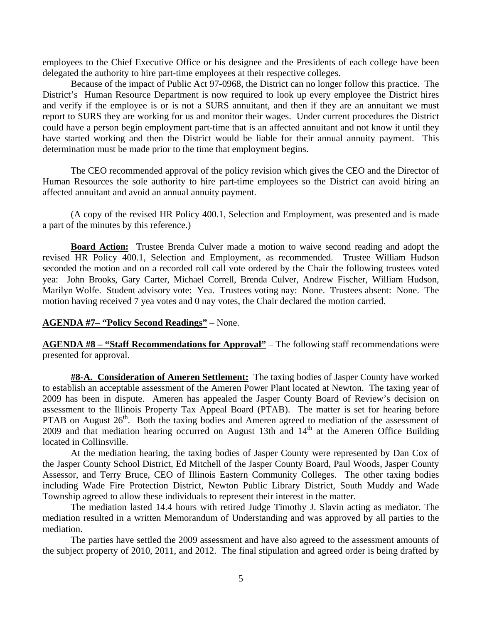employees to the Chief Executive Office or his designee and the Presidents of each college have been delegated the authority to hire part-time employees at their respective colleges.

 Because of the impact of Public Act 97-0968, the District can no longer follow this practice. The District's Human Resource Department is now required to look up every employee the District hires and verify if the employee is or is not a SURS annuitant, and then if they are an annuitant we must report to SURS they are working for us and monitor their wages. Under current procedures the District could have a person begin employment part-time that is an affected annuitant and not know it until they have started working and then the District would be liable for their annual annuity payment. This determination must be made prior to the time that employment begins.

 The CEO recommended approval of the policy revision which gives the CEO and the Director of Human Resources the sole authority to hire part-time employees so the District can avoid hiring an affected annuitant and avoid an annual annuity payment.

 (A copy of the revised HR Policy 400.1, Selection and Employment, was presented and is made a part of the minutes by this reference.)

**Board Action:** Trustee Brenda Culver made a motion to waive second reading and adopt the revised HR Policy 400.1, Selection and Employment, as recommended. Trustee William Hudson seconded the motion and on a recorded roll call vote ordered by the Chair the following trustees voted yea: John Brooks, Gary Carter, Michael Correll, Brenda Culver, Andrew Fischer, William Hudson, Marilyn Wolfe. Student advisory vote: Yea. Trustees voting nay: None. Trustees absent: None. The motion having received 7 yea votes and 0 nay votes, the Chair declared the motion carried.

#### **AGENDA #7– "Policy Second Readings"** – None.

**AGENDA #8 – "Staff Recommendations for Approval"** – The following staff recommendations were presented for approval.

**#8-A. Consideration of Ameren Settlement:** The taxing bodies of Jasper County have worked to establish an acceptable assessment of the Ameren Power Plant located at Newton. The taxing year of 2009 has been in dispute. Ameren has appealed the Jasper County Board of Review's decision on assessment to the Illinois Property Tax Appeal Board (PTAB). The matter is set for hearing before PTAB on August 26<sup>th</sup>. Both the taxing bodies and Ameren agreed to mediation of the assessment of 2009 and that mediation hearing occurred on August 13th and  $14<sup>th</sup>$  at the Ameren Office Building located in Collinsville.

 At the mediation hearing, the taxing bodies of Jasper County were represented by Dan Cox of the Jasper County School District, Ed Mitchell of the Jasper County Board, Paul Woods, Jasper County Assessor, and Terry Bruce, CEO of Illinois Eastern Community Colleges. The other taxing bodies including Wade Fire Protection District, Newton Public Library District, South Muddy and Wade Township agreed to allow these individuals to represent their interest in the matter.

 The mediation lasted 14.4 hours with retired Judge Timothy J. Slavin acting as mediator. The mediation resulted in a written Memorandum of Understanding and was approved by all parties to the mediation.

 The parties have settled the 2009 assessment and have also agreed to the assessment amounts of the subject property of 2010, 2011, and 2012. The final stipulation and agreed order is being drafted by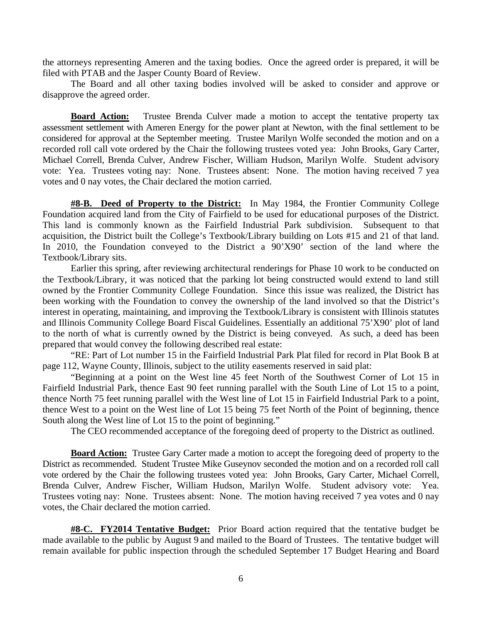the attorneys representing Ameren and the taxing bodies. Once the agreed order is prepared, it will be filed with PTAB and the Jasper County Board of Review.

 The Board and all other taxing bodies involved will be asked to consider and approve or disapprove the agreed order.

**Board Action:** Trustee Brenda Culver made a motion to accept the tentative property tax assessment settlement with Ameren Energy for the power plant at Newton, with the final settlement to be considered for approval at the September meeting. Trustee Marilyn Wolfe seconded the motion and on a recorded roll call vote ordered by the Chair the following trustees voted yea: John Brooks, Gary Carter, Michael Correll, Brenda Culver, Andrew Fischer, William Hudson, Marilyn Wolfe. Student advisory vote: Yea. Trustees voting nay: None. Trustees absent: None. The motion having received 7 yea votes and 0 nay votes, the Chair declared the motion carried.

**#8-B. Deed of Property to the District:** In May 1984, the Frontier Community College Foundation acquired land from the City of Fairfield to be used for educational purposes of the District. This land is commonly known as the Fairfield Industrial Park subdivision. Subsequent to that acquisition, the District built the College's Textbook/Library building on Lots #15 and 21 of that land. In 2010, the Foundation conveyed to the District a 90'X90' section of the land where the Textbook/Library sits.

 Earlier this spring, after reviewing architectural renderings for Phase 10 work to be conducted on the Textbook/Library, it was noticed that the parking lot being constructed would extend to land still owned by the Frontier Community College Foundation. Since this issue was realized, the District has been working with the Foundation to convey the ownership of the land involved so that the District's interest in operating, maintaining, and improving the Textbook/Library is consistent with Illinois statutes and Illinois Community College Board Fiscal Guidelines. Essentially an additional 75'X90' plot of land to the north of what is currently owned by the District is being conveyed. As such, a deed has been prepared that would convey the following described real estate:

 "RE: Part of Lot number 15 in the Fairfield Industrial Park Plat filed for record in Plat Book B at page 112, Wayne County, Illinois, subject to the utility easements reserved in said plat:

 "Beginning at a point on the West line 45 feet North of the Southwest Corner of Lot 15 in Fairfield Industrial Park, thence East 90 feet running parallel with the South Line of Lot 15 to a point, thence North 75 feet running parallel with the West line of Lot 15 in Fairfield Industrial Park to a point, thence West to a point on the West line of Lot 15 being 75 feet North of the Point of beginning, thence South along the West line of Lot 15 to the point of beginning."

The CEO recommended acceptance of the foregoing deed of property to the District as outlined.

**Board Action:** Trustee Gary Carter made a motion to accept the foregoing deed of property to the District as recommended. Student Trustee Mike Guseynov seconded the motion and on a recorded roll call vote ordered by the Chair the following trustees voted yea: John Brooks, Gary Carter, Michael Correll, Brenda Culver, Andrew Fischer, William Hudson, Marilyn Wolfe. Student advisory vote: Yea. Trustees voting nay: None. Trustees absent: None. The motion having received 7 yea votes and 0 nay votes, the Chair declared the motion carried.

**#8-C. FY2014 Tentative Budget:** Prior Board action required that the tentative budget be made available to the public by August 9 and mailed to the Board of Trustees. The tentative budget will remain available for public inspection through the scheduled September 17 Budget Hearing and Board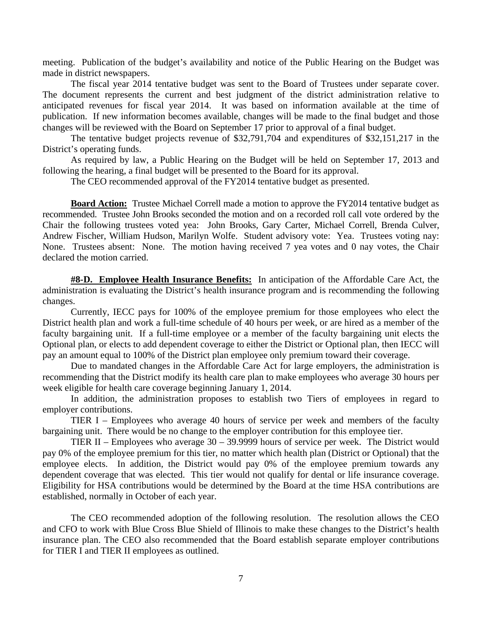meeting. Publication of the budget's availability and notice of the Public Hearing on the Budget was made in district newspapers.

 The fiscal year 2014 tentative budget was sent to the Board of Trustees under separate cover. The document represents the current and best judgment of the district administration relative to anticipated revenues for fiscal year 2014. It was based on information available at the time of publication. If new information becomes available, changes will be made to the final budget and those changes will be reviewed with the Board on September 17 prior to approval of a final budget.

 The tentative budget projects revenue of \$32,791,704 and expenditures of \$32,151,217 in the District's operating funds.

 As required by law, a Public Hearing on the Budget will be held on September 17, 2013 and following the hearing, a final budget will be presented to the Board for its approval.

The CEO recommended approval of the FY2014 tentative budget as presented.

**Board Action:** Trustee Michael Correll made a motion to approve the FY2014 tentative budget as recommended. Trustee John Brooks seconded the motion and on a recorded roll call vote ordered by the Chair the following trustees voted yea: John Brooks, Gary Carter, Michael Correll, Brenda Culver, Andrew Fischer, William Hudson, Marilyn Wolfe. Student advisory vote: Yea. Trustees voting nay: None. Trustees absent: None. The motion having received 7 yea votes and 0 nay votes, the Chair declared the motion carried.

**#8-D. Employee Health Insurance Benefits:** In anticipation of the Affordable Care Act, the administration is evaluating the District's health insurance program and is recommending the following changes.

 Currently, IECC pays for 100% of the employee premium for those employees who elect the District health plan and work a full-time schedule of 40 hours per week, or are hired as a member of the faculty bargaining unit. If a full-time employee or a member of the faculty bargaining unit elects the Optional plan, or elects to add dependent coverage to either the District or Optional plan, then IECC will pay an amount equal to 100% of the District plan employee only premium toward their coverage.

 Due to mandated changes in the Affordable Care Act for large employers, the administration is recommending that the District modify its health care plan to make employees who average 30 hours per week eligible for health care coverage beginning January 1, 2014.

 In addition, the administration proposes to establish two Tiers of employees in regard to employer contributions.

 TIER I – Employees who average 40 hours of service per week and members of the faculty bargaining unit. There would be no change to the employer contribution for this employee tier.

 TIER II – Employees who average 30 – 39.9999 hours of service per week. The District would pay 0% of the employee premium for this tier, no matter which health plan (District or Optional) that the employee elects. In addition, the District would pay 0% of the employee premium towards any dependent coverage that was elected. This tier would not qualify for dental or life insurance coverage. Eligibility for HSA contributions would be determined by the Board at the time HSA contributions are established, normally in October of each year.

 The CEO recommended adoption of the following resolution. The resolution allows the CEO and CFO to work with Blue Cross Blue Shield of Illinois to make these changes to the District's health insurance plan. The CEO also recommended that the Board establish separate employer contributions for TIER I and TIER II employees as outlined.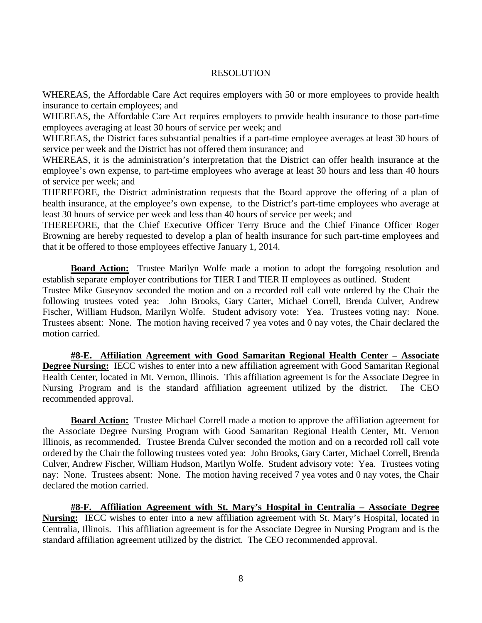#### RESOLUTION

WHEREAS, the Affordable Care Act requires employers with 50 or more employees to provide health insurance to certain employees; and

WHEREAS, the Affordable Care Act requires employers to provide health insurance to those part-time employees averaging at least 30 hours of service per week; and

WHEREAS, the District faces substantial penalties if a part-time employee averages at least 30 hours of service per week and the District has not offered them insurance; and

WHEREAS, it is the administration's interpretation that the District can offer health insurance at the employee's own expense, to part-time employees who average at least 30 hours and less than 40 hours of service per week; and

THEREFORE, the District administration requests that the Board approve the offering of a plan of health insurance, at the employee's own expense, to the District's part-time employees who average at least 30 hours of service per week and less than 40 hours of service per week; and

THEREFORE, that the Chief Executive Officer Terry Bruce and the Chief Finance Officer Roger Browning are hereby requested to develop a plan of health insurance for such part-time employees and that it be offered to those employees effective January 1, 2014.

**Board Action:** Trustee Marilyn Wolfe made a motion to adopt the foregoing resolution and establish separate employer contributions for TIER I and TIER II employees as outlined. Student

Trustee Mike Guseynov seconded the motion and on a recorded roll call vote ordered by the Chair the following trustees voted yea: John Brooks, Gary Carter, Michael Correll, Brenda Culver, Andrew Fischer, William Hudson, Marilyn Wolfe. Student advisory vote: Yea. Trustees voting nay: None. Trustees absent: None. The motion having received 7 yea votes and 0 nay votes, the Chair declared the motion carried.

**#8-E. Affiliation Agreement with Good Samaritan Regional Health Center – Associate Degree Nursing:** IECC wishes to enter into a new affiliation agreement with Good Samaritan Regional Health Center, located in Mt. Vernon, Illinois. This affiliation agreement is for the Associate Degree in Nursing Program and is the standard affiliation agreement utilized by the district. The CEO recommended approval.

**Board Action:** Trustee Michael Correll made a motion to approve the affiliation agreement for the Associate Degree Nursing Program with Good Samaritan Regional Health Center, Mt. Vernon Illinois, as recommended. Trustee Brenda Culver seconded the motion and on a recorded roll call vote ordered by the Chair the following trustees voted yea: John Brooks, Gary Carter, Michael Correll, Brenda Culver, Andrew Fischer, William Hudson, Marilyn Wolfe. Student advisory vote: Yea. Trustees voting nay: None. Trustees absent: None. The motion having received 7 yea votes and 0 nay votes, the Chair declared the motion carried.

**#8-F. Affiliation Agreement with St. Mary's Hospital in Centralia – Associate Degree Nursing:** IECC wishes to enter into a new affiliation agreement with St. Mary's Hospital, located in Centralia, Illinois. This affiliation agreement is for the Associate Degree in Nursing Program and is the standard affiliation agreement utilized by the district. The CEO recommended approval.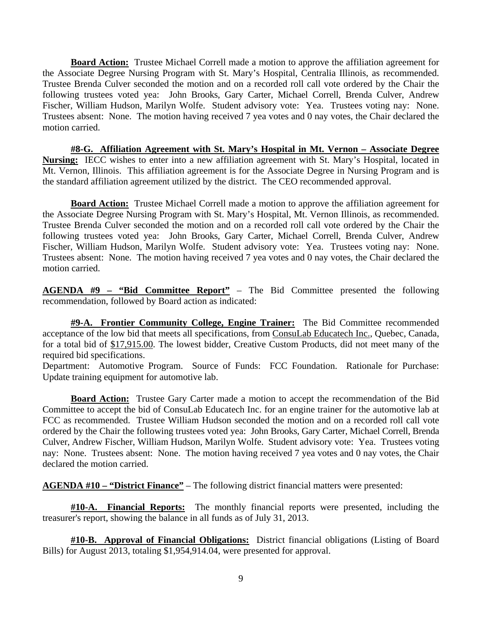**Board Action:** Trustee Michael Correll made a motion to approve the affiliation agreement for the Associate Degree Nursing Program with St. Mary's Hospital, Centralia Illinois, as recommended. Trustee Brenda Culver seconded the motion and on a recorded roll call vote ordered by the Chair the following trustees voted yea: John Brooks, Gary Carter, Michael Correll, Brenda Culver, Andrew Fischer, William Hudson, Marilyn Wolfe. Student advisory vote: Yea. Trustees voting nay: None. Trustees absent: None. The motion having received 7 yea votes and 0 nay votes, the Chair declared the motion carried.

**#8-G. Affiliation Agreement with St. Mary's Hospital in Mt. Vernon – Associate Degree Nursing:** IECC wishes to enter into a new affiliation agreement with St. Mary's Hospital, located in Mt. Vernon, Illinois. This affiliation agreement is for the Associate Degree in Nursing Program and is the standard affiliation agreement utilized by the district. The CEO recommended approval.

**Board Action:** Trustee Michael Correll made a motion to approve the affiliation agreement for the Associate Degree Nursing Program with St. Mary's Hospital, Mt. Vernon Illinois, as recommended. Trustee Brenda Culver seconded the motion and on a recorded roll call vote ordered by the Chair the following trustees voted yea: John Brooks, Gary Carter, Michael Correll, Brenda Culver, Andrew Fischer, William Hudson, Marilyn Wolfe. Student advisory vote: Yea. Trustees voting nay: None. Trustees absent: None. The motion having received 7 yea votes and 0 nay votes, the Chair declared the motion carried.

**AGENDA #9 – "Bid Committee Report"** – The Bid Committee presented the following recommendation, followed by Board action as indicated:

**#9-A. Frontier Community College, Engine Trainer:** The Bid Committee recommended acceptance of the low bid that meets all specifications, from ConsuLab Educatech Inc., Quebec, Canada, for a total bid of \$17,915.00. The lowest bidder, Creative Custom Products, did not meet many of the required bid specifications.

Department: Automotive Program. Source of Funds: FCC Foundation. Rationale for Purchase: Update training equipment for automotive lab.

**Board Action:** Trustee Gary Carter made a motion to accept the recommendation of the Bid Committee to accept the bid of ConsuLab Educatech Inc. for an engine trainer for the automotive lab at FCC as recommended. Trustee William Hudson seconded the motion and on a recorded roll call vote ordered by the Chair the following trustees voted yea: John Brooks, Gary Carter, Michael Correll, Brenda Culver, Andrew Fischer, William Hudson, Marilyn Wolfe. Student advisory vote: Yea. Trustees voting nay: None. Trustees absent: None. The motion having received 7 yea votes and 0 nay votes, the Chair declared the motion carried.

**AGENDA #10 – "District Finance"** – The following district financial matters were presented:

**#10-A. Financial Reports:** The monthly financial reports were presented, including the treasurer's report, showing the balance in all funds as of July 31, 2013.

**#10-B. Approval of Financial Obligations:** District financial obligations (Listing of Board Bills) for August 2013, totaling \$1,954,914.04, were presented for approval.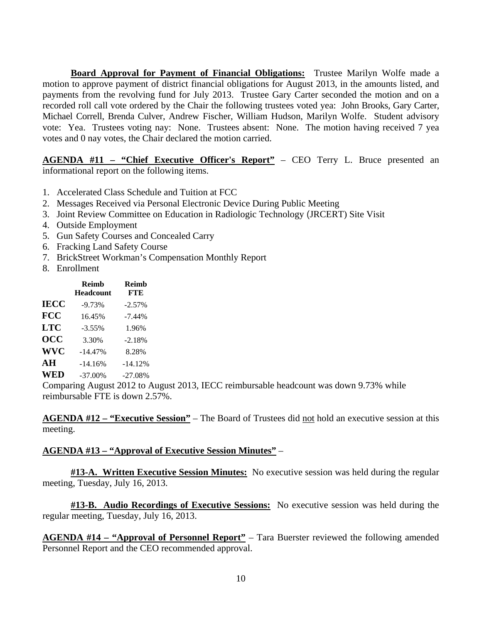**Board Approval for Payment of Financial Obligations:** Trustee Marilyn Wolfe made a motion to approve payment of district financial obligations for August 2013, in the amounts listed, and payments from the revolving fund for July 2013. Trustee Gary Carter seconded the motion and on a recorded roll call vote ordered by the Chair the following trustees voted yea: John Brooks, Gary Carter, Michael Correll, Brenda Culver, Andrew Fischer, William Hudson, Marilyn Wolfe. Student advisory vote: Yea. Trustees voting nay: None. Trustees absent: None. The motion having received 7 yea votes and 0 nay votes, the Chair declared the motion carried.

**AGENDA #11 – "Chief Executive Officer's Report"** – CEO Terry L. Bruce presented an informational report on the following items.

- 1. Accelerated Class Schedule and Tuition at FCC
- 2. Messages Received via Personal Electronic Device During Public Meeting
- 3. Joint Review Committee on Education in Radiologic Technology (JRCERT) Site Visit
- 4. Outside Employment
- 5. Gun Safety Courses and Concealed Carry
- 6. Fracking Land Safety Course
- 7. BrickStreet Workman's Compensation Monthly Report
- 8. Enrollment

|                  | <b>Reimb</b><br><b>Headcount</b> | <b>Reimb</b><br><b>FTE</b> |
|------------------|----------------------------------|----------------------------|
| <b>IECC</b>      | $-9.73%$                         | $-2.57%$                   |
| <b>FCC</b>       | 16.45%                           | $-7.44%$                   |
| LTC              | $-3.55\%$                        | 1.96%                      |
| $\overline{OCC}$ | 3.30%                            | $-2.18%$                   |
| <b>WVC</b>       | $-14.47%$                        | 8.28%                      |
| AН               | $-14.16%$                        | $-14.12%$                  |
| <b>WED</b>       | $-37.00\%$                       | $-27.08%$                  |

Comparing August 2012 to August 2013, IECC reimbursable headcount was down 9.73% while reimbursable FTE is down 2.57%.

**AGENDA #12 – "Executive Session"** – The Board of Trustees did not hold an executive session at this meeting.

## **AGENDA #13 – "Approval of Executive Session Minutes"** –

**#13-A. Written Executive Session Minutes:** No executive session was held during the regular meeting, Tuesday, July 16, 2013.

**#13-B. Audio Recordings of Executive Sessions:** No executive session was held during the regular meeting, Tuesday, July 16, 2013.

**AGENDA #14 – "Approval of Personnel Report"** – Tara Buerster reviewed the following amended Personnel Report and the CEO recommended approval.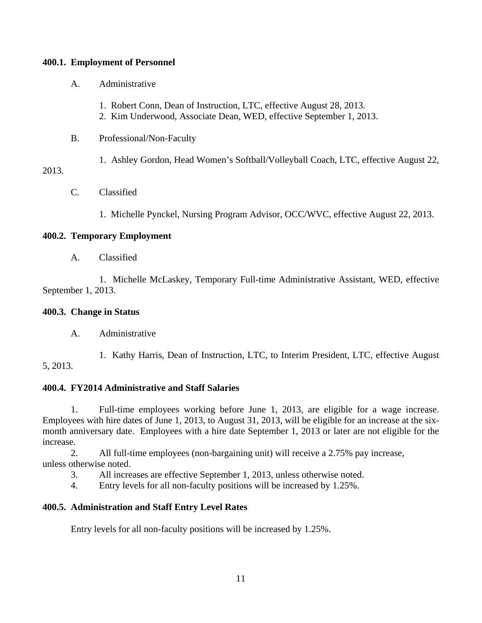## **400.1. Employment of Personnel**

- A. Administrative
	- 1. Robert Conn, Dean of Instruction, LTC, effective August 28, 2013.
	- 2. Kim Underwood, Associate Dean, WED, effective September 1, 2013.
- B. Professional/Non-Faculty
	- 1. Ashley Gordon, Head Women's Softball/Volleyball Coach, LTC, effective August 22,

# 2013.

- C. Classified
	- 1. Michelle Pynckel, Nursing Program Advisor, OCC/WVC, effective August 22, 2013.

# **400.2. Temporary Employment**

A. Classified

 1. Michelle McLaskey, Temporary Full-time Administrative Assistant, WED, effective September 1, 2013.

## **400.3. Change in Status**

A. Administrative

 1. Kathy Harris, Dean of Instruction, LTC, to Interim President, LTC, effective August 5, 2013.

## **400.4. FY2014 Administrative and Staff Salaries**

 1. Full-time employees working before June 1, 2013, are eligible for a wage increase. Employees with hire dates of June 1, 2013, to August 31, 2013, will be eligible for an increase at the sixmonth anniversary date. Employees with a hire date September 1, 2013 or later are not eligible for the increase.

 2. All full-time employees (non-bargaining unit) will receive a 2.75% pay increase, unless otherwise noted.

- 3. All increases are effective September 1, 2013, unless otherwise noted.
- 4. Entry levels for all non-faculty positions will be increased by 1.25%.

## **400.5. Administration and Staff Entry Level Rates**

Entry levels for all non-faculty positions will be increased by 1.25%.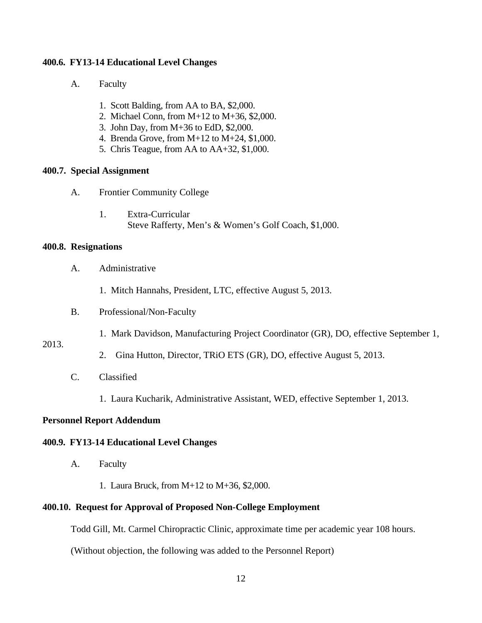#### **400.6. FY13-14 Educational Level Changes**

- A. Faculty
	- 1. Scott Balding, from AA to BA, \$2,000.
	- 2. Michael Conn, from M+12 to M+36, \$2,000.
	- 3. John Day, from M+36 to EdD, \$2,000.
	- 4. Brenda Grove, from M+12 to M+24, \$1,000.
	- 5. Chris Teague, from AA to AA+32, \$1,000.

#### **400.7. Special Assignment**

- A. Frontier Community College
	- 1. Extra-Curricular Steve Rafferty, Men's & Women's Golf Coach, \$1,000.

#### **400.8. Resignations**

- A. Administrative
	- 1. Mitch Hannahs, President, LTC, effective August 5, 2013.
- B. Professional/Non-Faculty
	- 1. Mark Davidson, Manufacturing Project Coordinator (GR), DO, effective September 1,

#### 2013.

- 2. Gina Hutton, Director, TRiO ETS (GR), DO, effective August 5, 2013.
- C. Classified
	- 1. Laura Kucharik, Administrative Assistant, WED, effective September 1, 2013.

## **Personnel Report Addendum**

#### **400.9. FY13-14 Educational Level Changes**

- A. Faculty
	- 1. Laura Bruck, from M+12 to M+36, \$2,000.

#### **400.10. Request for Approval of Proposed Non-College Employment**

Todd Gill, Mt. Carmel Chiropractic Clinic, approximate time per academic year 108 hours.

(Without objection, the following was added to the Personnel Report)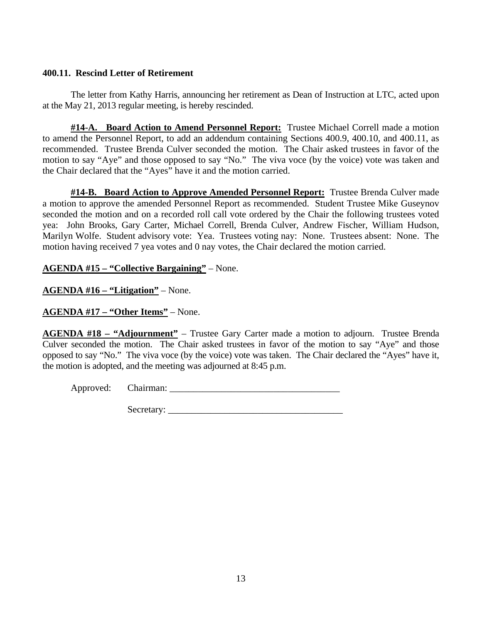# **400.11. Rescind Letter of Retirement**

 The letter from Kathy Harris, announcing her retirement as Dean of Instruction at LTC, acted upon at the May 21, 2013 regular meeting, is hereby rescinded.

**#14-A. Board Action to Amend Personnel Report:** Trustee Michael Correll made a motion to amend the Personnel Report, to add an addendum containing Sections 400.9, 400.10, and 400.11, as recommended. Trustee Brenda Culver seconded the motion. The Chair asked trustees in favor of the motion to say "Aye" and those opposed to say "No." The viva voce (by the voice) vote was taken and the Chair declared that the "Ayes" have it and the motion carried.

**#14-B. Board Action to Approve Amended Personnel Report:** Trustee Brenda Culver made a motion to approve the amended Personnel Report as recommended. Student Trustee Mike Guseynov seconded the motion and on a recorded roll call vote ordered by the Chair the following trustees voted yea: John Brooks, Gary Carter, Michael Correll, Brenda Culver, Andrew Fischer, William Hudson, Marilyn Wolfe. Student advisory vote: Yea. Trustees voting nay: None. Trustees absent: None. The motion having received 7 yea votes and 0 nay votes, the Chair declared the motion carried.

**AGENDA #15 – "Collective Bargaining"** – None.

**AGENDA #16 – "Litigation"** – None.

**AGENDA #17 – "Other Items"** – None.

**AGENDA #18 – "Adjournment"** – Trustee Gary Carter made a motion to adjourn. Trustee Brenda Culver seconded the motion. The Chair asked trustees in favor of the motion to say "Aye" and those opposed to say "No." The viva voce (by the voice) vote was taken. The Chair declared the "Ayes" have it, the motion is adopted, and the meeting was adjourned at 8:45 p.m.

Approved: Chairman: \_\_\_\_\_\_\_\_\_\_\_\_\_\_\_\_\_\_\_\_\_\_\_\_\_\_\_\_\_\_\_\_\_\_\_\_

Secretary: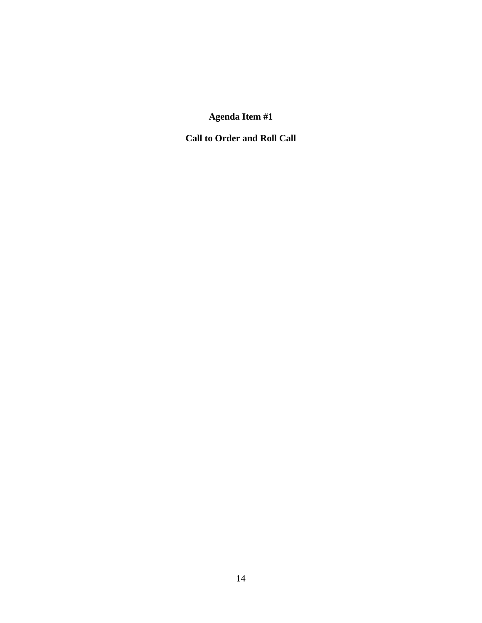**Call to Order and Roll Call**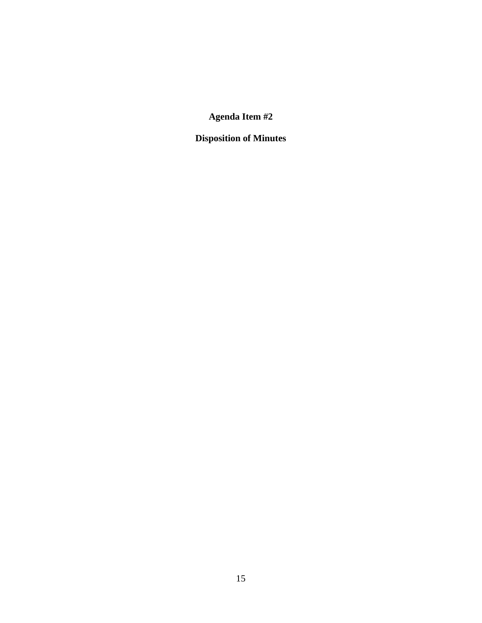**Disposition of Minutes**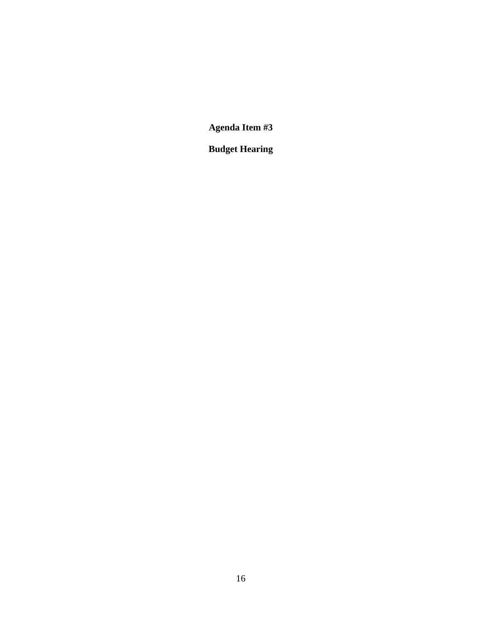**Budget Hearing**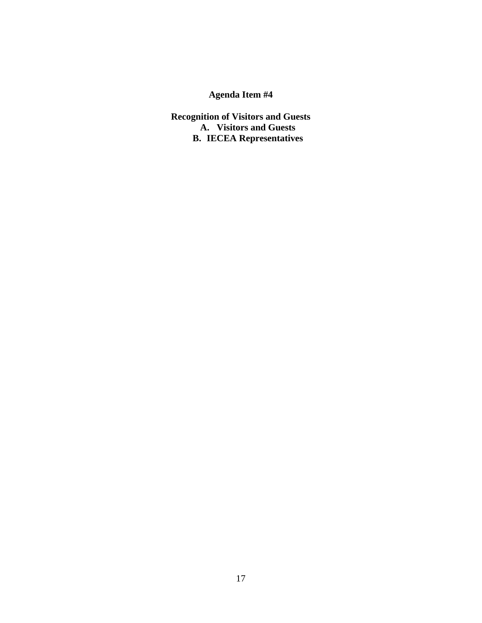**Recognition of Visitors and Guests A. Visitors and Guests B. IECEA Representatives**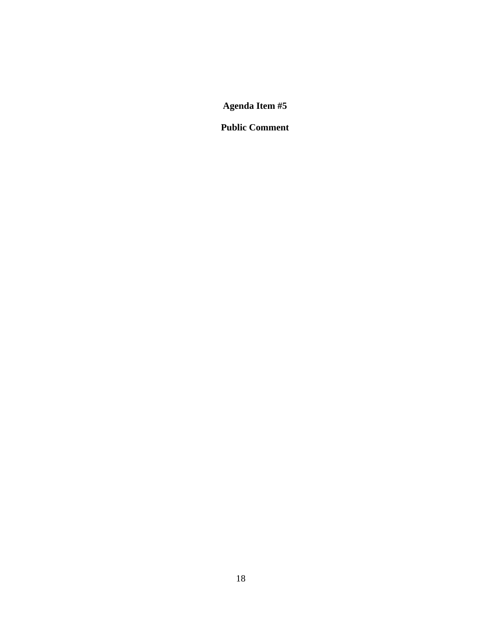**Public Comment**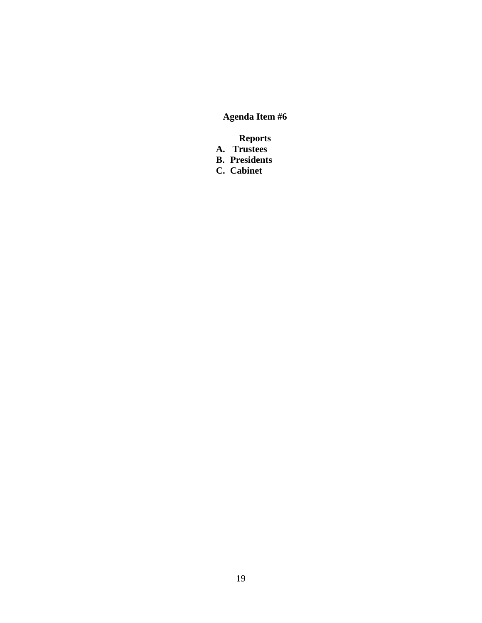**Reports** 

- **A. Trustees**
- **B. Presidents**
- **C. Cabinet**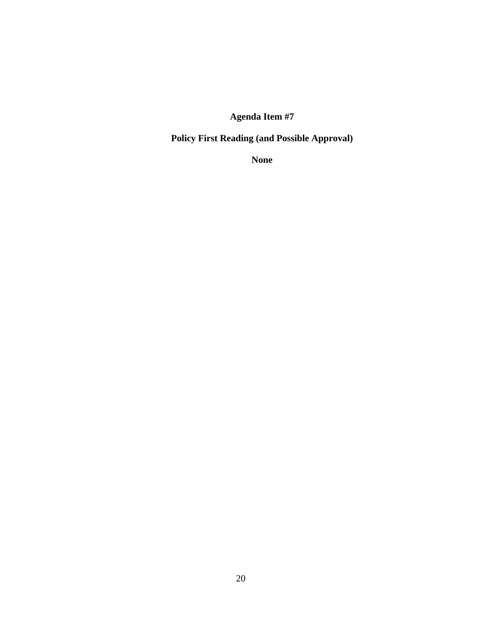**Policy First Reading (and Possible Approval)** 

**None**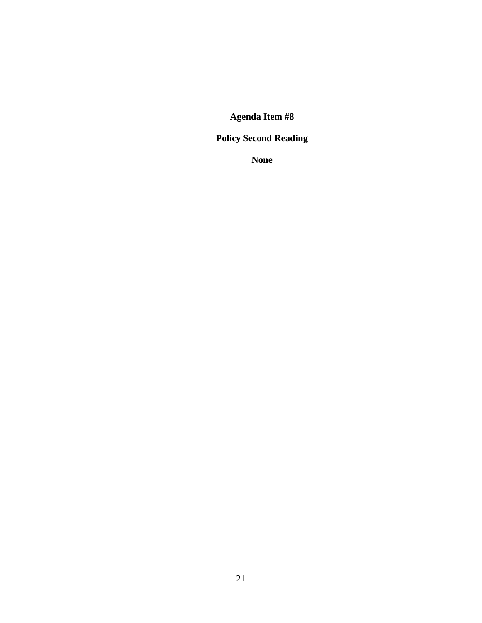# **Policy Second Reading**

**None**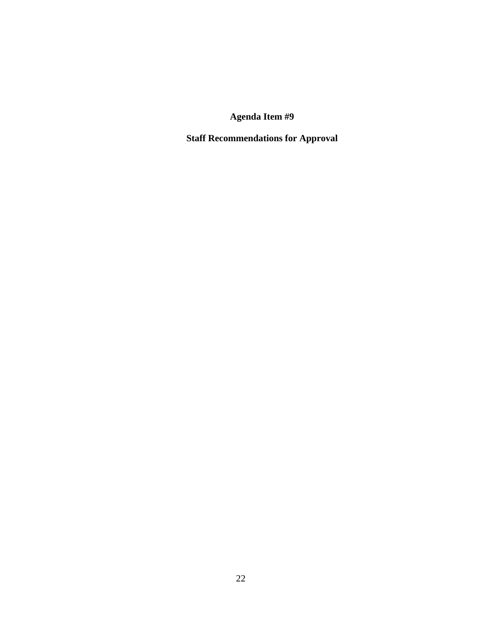**Staff Recommendations for Approval**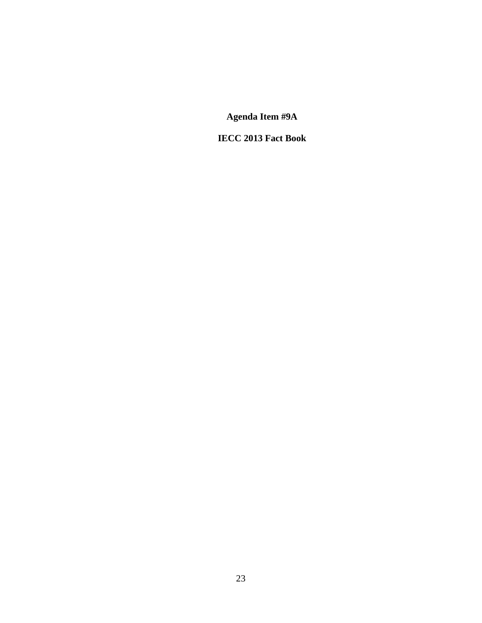**IECC 2013 Fact Book**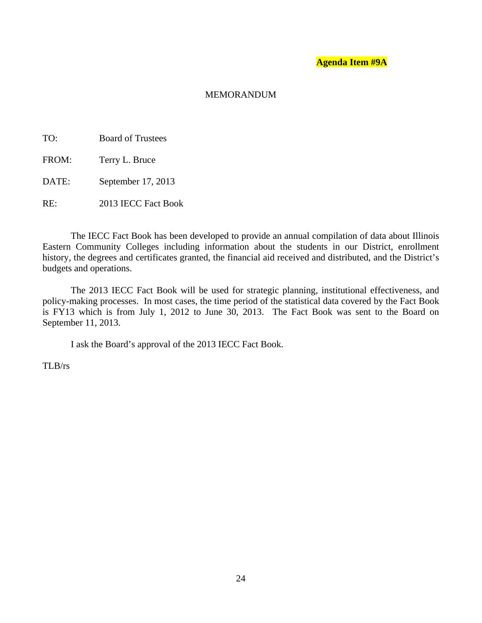#### MEMORANDUM

- TO: Board of Trustees
- FROM: Terry L. Bruce

DATE: September 17, 2013

RE: 2013 IECC Fact Book

The IECC Fact Book has been developed to provide an annual compilation of data about Illinois Eastern Community Colleges including information about the students in our District, enrollment history, the degrees and certificates granted, the financial aid received and distributed, and the District's budgets and operations.

The 2013 IECC Fact Book will be used for strategic planning, institutional effectiveness, and policy-making processes. In most cases, the time period of the statistical data covered by the Fact Book is FY13 which is from July 1, 2012 to June  $30$ , 2013. The Fact Book was sent to the Board on September 11, 2013.

I ask the Board's approval of the 2013 IECC Fact Book.

TLB/rs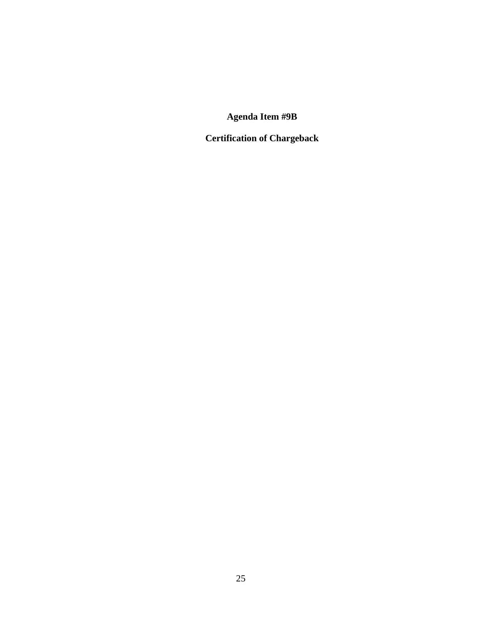**Certification of Chargeback**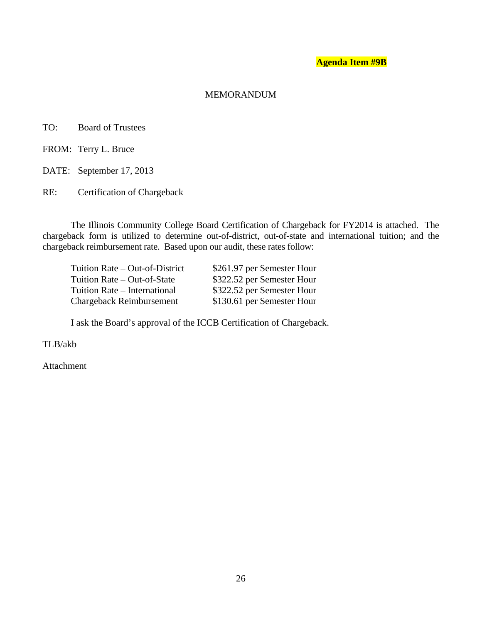#### MEMORANDUM

TO: Board of Trustees

FROM: Terry L. Bruce

DATE: September 17, 2013

RE: Certification of Chargeback

The Illinois Community College Board Certification of Chargeback for FY2014 is attached. The chargeback form is utilized to determine out-of-district, out-of-state and international tuition; and the chargeback reimbursement rate. Based upon our audit, these rates follow:

| Tuition Rate – Out-of-District  | \$261.97 per Semester Hour |
|---------------------------------|----------------------------|
| Tuition Rate – Out-of-State     | \$322.52 per Semester Hour |
| Tuition Rate – International    | \$322.52 per Semester Hour |
| <b>Chargeback Reimbursement</b> | \$130.61 per Semester Hour |

I ask the Board's approval of the ICCB Certification of Chargeback.

TLB/akb

Attachment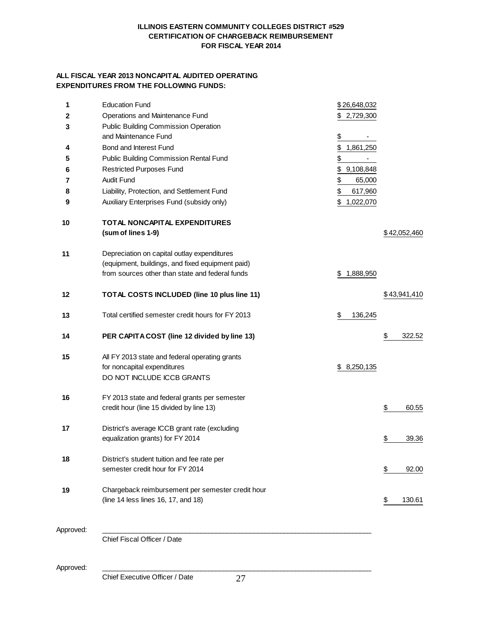#### **ILLINOIS EASTERN COMMUNITY COLLEGES DISTRICT #529 CERTIFICATION OF CHARGEBACK REIMBURSEMENT FOR FISCAL YEAR 2014**

#### **ALL FISCAL YEAR 2013 NONCAPITAL AUDITED OPERATING EXPENDITURES FROM THE FOLLOWING FUNDS:**

| 1         | <b>Education Fund</b>                             | \$26,648,032    |              |        |
|-----------|---------------------------------------------------|-----------------|--------------|--------|
| 2         | Operations and Maintenance Fund                   | 2,729,300<br>S. |              |        |
| 3         | Public Building Commission Operation              |                 |              |        |
|           | and Maintenance Fund                              | <u>\$</u>       |              |        |
| 4         | Bond and Interest Fund                            | \$<br>1,861,250 |              |        |
| 5         | Public Building Commission Rental Fund            | $\frac{1}{2}$   |              |        |
| 6         | <b>Restricted Purposes Fund</b>                   | \$<br>9,108,848 |              |        |
| 7         | Audit Fund                                        | \$<br>65,000    |              |        |
| 8         | Liability, Protection, and Settlement Fund        | \$<br>617,960   |              |        |
|           | Auxiliary Enterprises Fund (subsidy only)         | \$<br>1,022,070 |              |        |
| 9         |                                                   |                 |              |        |
| 10        | TOTAL NONCAPITAL EXPENDITURES                     |                 |              |        |
|           | (sum of lines 1-9)                                |                 | \$42,052,460 |        |
|           |                                                   |                 |              |        |
| 11        | Depreciation on capital outlay expenditures       |                 |              |        |
|           | (equipment, buildings, and fixed equipment paid)  |                 |              |        |
|           | from sources other than state and federal funds   | \$<br>1,888,950 |              |        |
|           |                                                   |                 |              |        |
| 12        | TOTAL COSTS INCLUDED (line 10 plus line 11)       |                 | \$43,941,410 |        |
|           |                                                   |                 |              |        |
| 13        | Total certified semester credit hours for FY 2013 | \$<br>136,245   |              |        |
|           |                                                   |                 |              |        |
| 14        | PER CAPITA COST (line 12 divided by line 13)      |                 | \$           | 322.52 |
| 15        | All FY 2013 state and federal operating grants    |                 |              |        |
|           | for noncapital expenditures                       | \$8,250,135     |              |        |
|           | DO NOT INCLUDE ICCB GRANTS                        |                 |              |        |
|           |                                                   |                 |              |        |
| 16        | FY 2013 state and federal grants per semester     |                 |              |        |
|           | credit hour (line 15 divided by line 13)          |                 | \$           | 60.55  |
|           |                                                   |                 |              |        |
| 17        | District's average ICCB grant rate (excluding     |                 |              |        |
|           | equalization grants) for FY 2014                  |                 | \$           | 39.36  |
|           |                                                   |                 |              |        |
| 18        | District's student tuition and fee rate per       |                 |              |        |
|           | semester credit hour for FY 2014                  |                 | \$           | 92.00  |
|           |                                                   |                 |              |        |
| 19        | Chargeback reimbursement per semester credit hour |                 |              |        |
|           | (line 14 less lines 16, 17, and 18)               |                 |              | 130.61 |
|           |                                                   |                 |              |        |
|           |                                                   |                 |              |        |
| Approved: |                                                   |                 |              |        |
|           | Chief Fiscal Officer / Date                       |                 |              |        |
|           |                                                   |                 |              |        |

Approved: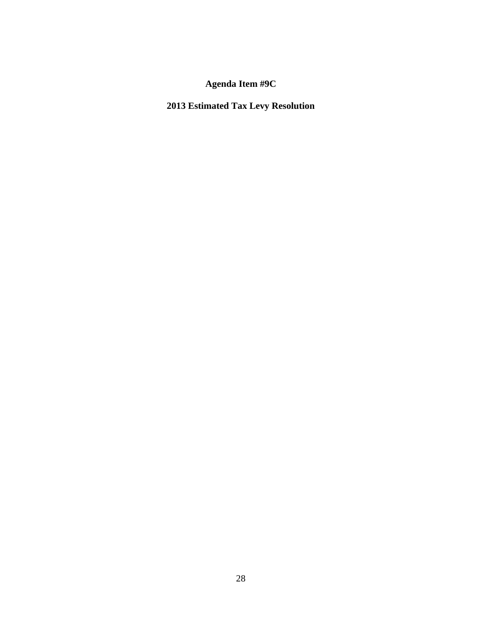**2013 Estimated Tax Levy Resolution**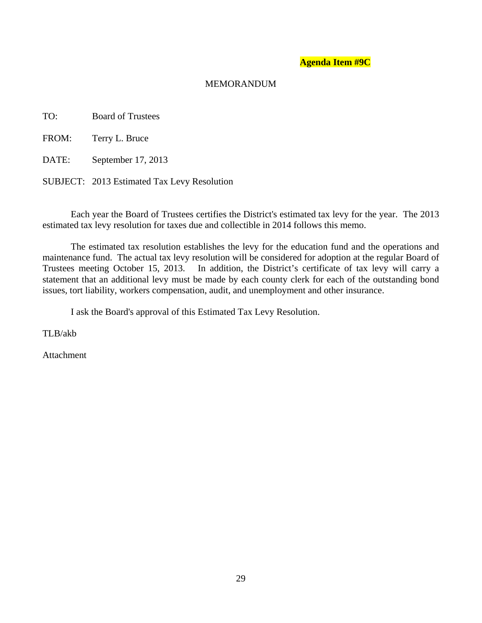#### MEMORANDUM

TO: Board of Trustees

FROM: Terry L. Bruce

DATE: September 17, 2013

SUBJECT: 2013 Estimated Tax Levy Resolution

Each year the Board of Trustees certifies the District's estimated tax levy for the year. The 2013 estimated tax levy resolution for taxes due and collectible in 2014 follows this memo.

The estimated tax resolution establishes the levy for the education fund and the operations and maintenance fund. The actual tax levy resolution will be considered for adoption at the regular Board of Trustees meeting October 15, 2013. In addition, the District's certificate of tax levy will carry a statement that an additional levy must be made by each county clerk for each of the outstanding bond issues, tort liability, workers compensation, audit, and unemployment and other insurance.

I ask the Board's approval of this Estimated Tax Levy Resolution.

TLB/akb

Attachment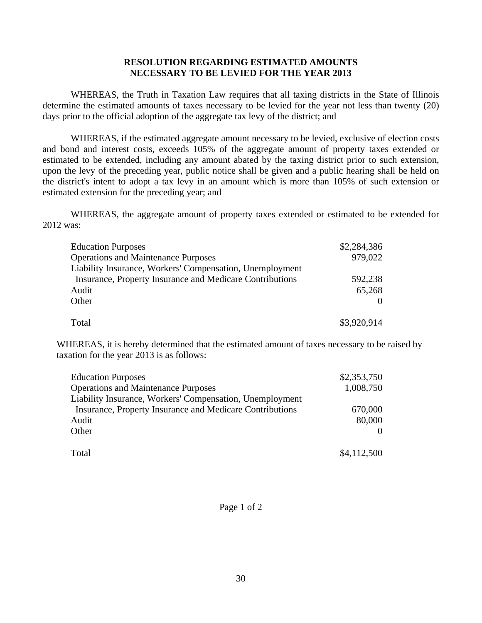## **RESOLUTION REGARDING ESTIMATED AMOUNTS NECESSARY TO BE LEVIED FOR THE YEAR 2013**

WHEREAS, the Truth in Taxation Law requires that all taxing districts in the State of Illinois determine the estimated amounts of taxes necessary to be levied for the year not less than twenty (20) days prior to the official adoption of the aggregate tax levy of the district; and

WHEREAS, if the estimated aggregate amount necessary to be levied, exclusive of election costs and bond and interest costs, exceeds 105% of the aggregate amount of property taxes extended or estimated to be extended, including any amount abated by the taxing district prior to such extension, upon the levy of the preceding year, public notice shall be given and a public hearing shall be held on the district's intent to adopt a tax levy in an amount which is more than 105% of such extension or estimated extension for the preceding year; and

WHEREAS, the aggregate amount of property taxes extended or estimated to be extended for 2012 was:

| <b>Education Purposes</b>                                | \$2,284,386 |
|----------------------------------------------------------|-------------|
| <b>Operations and Maintenance Purposes</b>               | 979,022     |
| Liability Insurance, Workers' Compensation, Unemployment |             |
| Insurance, Property Insurance and Medicare Contributions | 592,238     |
| Audit                                                    | 65,268      |
| Other                                                    |             |
|                                                          |             |
| Total                                                    | \$3,920,914 |

WHEREAS, it is hereby determined that the estimated amount of taxes necessary to be raised by taxation for the year 2013 is as follows:

| <b>Education Purposes</b>                                | \$2,353,750 |
|----------------------------------------------------------|-------------|
| <b>Operations and Maintenance Purposes</b>               | 1,008,750   |
| Liability Insurance, Workers' Compensation, Unemployment |             |
| Insurance, Property Insurance and Medicare Contributions | 670,000     |
| Audit                                                    | 80,000      |
| Other                                                    |             |
| Total                                                    | \$4,112,500 |

Page 1 of 2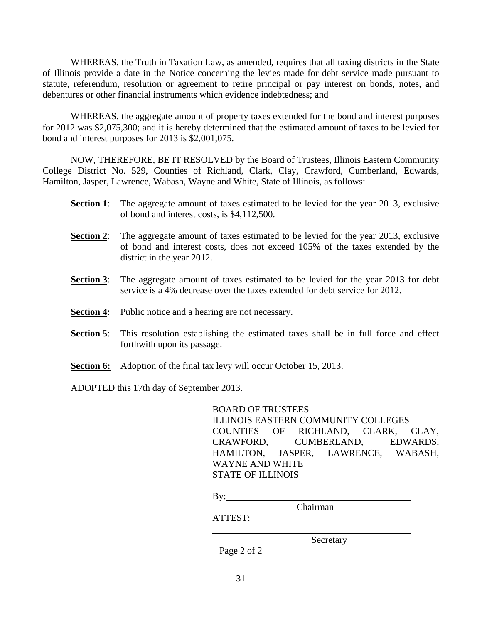WHEREAS, the Truth in Taxation Law, as amended, requires that all taxing districts in the State of Illinois provide a date in the Notice concerning the levies made for debt service made pursuant to statute, referendum, resolution or agreement to retire principal or pay interest on bonds, notes, and debentures or other financial instruments which evidence indebtedness; and

WHEREAS, the aggregate amount of property taxes extended for the bond and interest purposes for 2012 was \$2,075,300; and it is hereby determined that the estimated amount of taxes to be levied for bond and interest purposes for 2013 is \$2,001,075.

NOW, THEREFORE, BE IT RESOLVED by the Board of Trustees, Illinois Eastern Community College District No. 529, Counties of Richland, Clark, Clay, Crawford, Cumberland, Edwards, Hamilton, Jasper, Lawrence, Wabash, Wayne and White, State of Illinois, as follows:

- **Section 1**: The aggregate amount of taxes estimated to be levied for the year 2013, exclusive of bond and interest costs, is \$4,112,500.
- **Section 2**: The aggregate amount of taxes estimated to be levied for the year 2013, exclusive of bond and interest costs, does not exceed 105% of the taxes extended by the district in the year 2012.
- **Section 3:** The aggregate amount of taxes estimated to be levied for the year 2013 for debt service is a 4% decrease over the taxes extended for debt service for 2012.
- **Section 4:** Public notice and a hearing are not necessary.
- **Section 5**: This resolution establishing the estimated taxes shall be in full force and effect forthwith upon its passage.
- **Section 6:** Adoption of the final tax levy will occur October 15, 2013.

ADOPTED this 17th day of September 2013.

BOARD OF TRUSTEES ILLINOIS EASTERN COMMUNITY COLLEGES COUNTIES OF RICHLAND, CLARK, CLAY, CRAWFORD, CUMBERLAND, EDWARDS, HAMILTON, JASPER, LAWRENCE, WABASH, WAYNE AND WHITE STATE OF ILLINOIS

 $By:$ 

Chairman

ATTEST:

 $\overline{a}$ 

Secretary

Page 2 of 2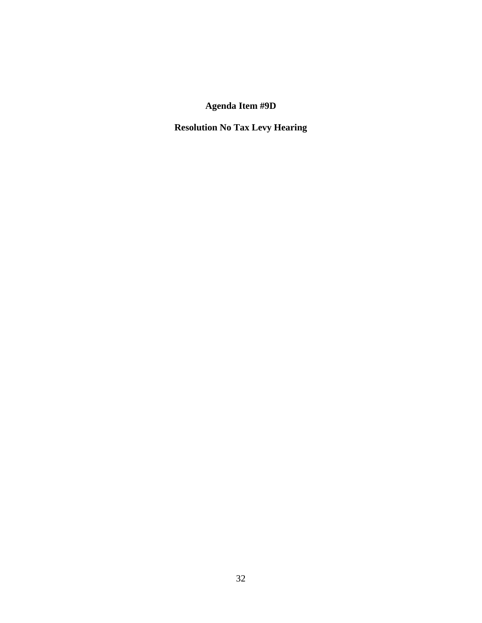# **Resolution No Tax Levy Hearing**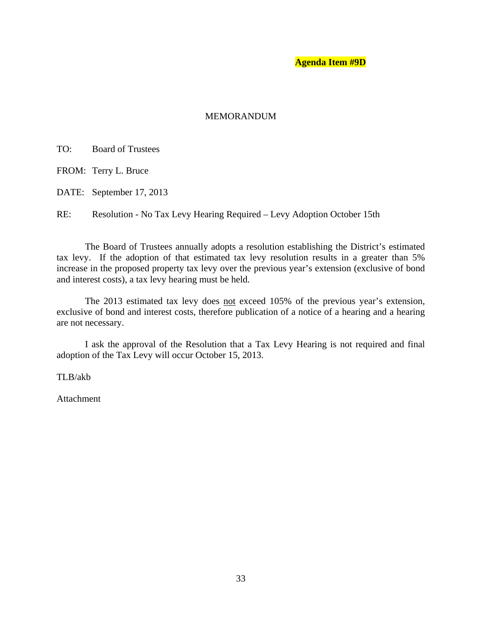## MEMORANDUM

TO: Board of Trustees

FROM: Terry L. Bruce

DATE: September 17, 2013

RE: Resolution - No Tax Levy Hearing Required – Levy Adoption October 15th

The Board of Trustees annually adopts a resolution establishing the District's estimated tax levy. If the adoption of that estimated tax levy resolution results in a greater than 5% increase in the proposed property tax levy over the previous year's extension (exclusive of bond and interest costs), a tax levy hearing must be held.

The 2013 estimated tax levy does not exceed 105% of the previous year's extension, exclusive of bond and interest costs, therefore publication of a notice of a hearing and a hearing are not necessary.

I ask the approval of the Resolution that a Tax Levy Hearing is not required and final adoption of the Tax Levy will occur October 15, 2013.

TLB/akb

Attachment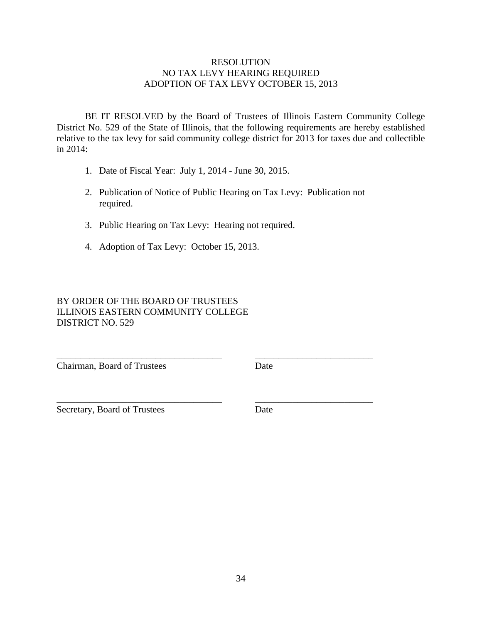## RESOLUTION NO TAX LEVY HEARING REQUIRED ADOPTION OF TAX LEVY OCTOBER 15, 2013

BE IT RESOLVED by the Board of Trustees of Illinois Eastern Community College District No. 529 of the State of Illinois, that the following requirements are hereby established relative to the tax levy for said community college district for 2013 for taxes due and collectible in 2014:

- 1. Date of Fiscal Year: July 1, 2014 June 30, 2015.
- 2. Publication of Notice of Public Hearing on Tax Levy: Publication not required.

\_\_\_\_\_\_\_\_\_\_\_\_\_\_\_\_\_\_\_\_\_\_\_\_\_\_\_\_\_\_\_\_\_\_\_ \_\_\_\_\_\_\_\_\_\_\_\_\_\_\_\_\_\_\_\_\_\_\_\_\_

\_\_\_\_\_\_\_\_\_\_\_\_\_\_\_\_\_\_\_\_\_\_\_\_\_\_\_\_\_\_\_\_\_\_\_ \_\_\_\_\_\_\_\_\_\_\_\_\_\_\_\_\_\_\_\_\_\_\_\_\_

- 3. Public Hearing on Tax Levy: Hearing not required.
- 4. Adoption of Tax Levy: October 15, 2013.

# BY ORDER OF THE BOARD OF TRUSTEES ILLINOIS EASTERN COMMUNITY COLLEGE DISTRICT NO. 529

Chairman, Board of Trustees Date

Secretary, Board of Trustees Date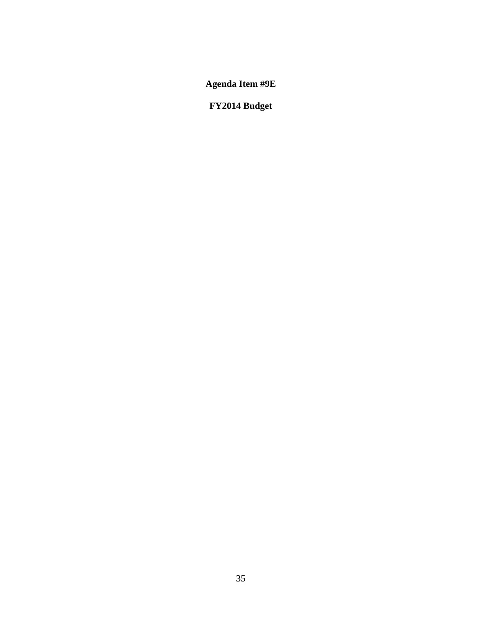**FY2014 Budget**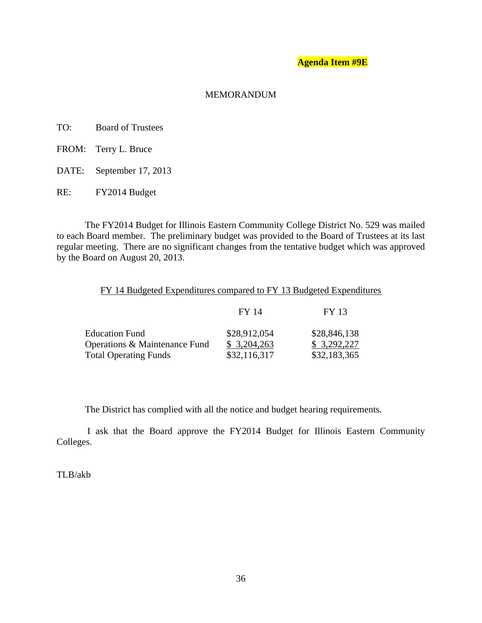### **Agenda Item #9E**

### MEMORANDUM

- TO: Board of Trustees
- FROM: Terry L. Bruce
- DATE: September 17, 2013
- RE: FY2014 Budget

The FY2014 Budget for Illinois Eastern Community College District No. 529 was mailed to each Board member. The preliminary budget was provided to the Board of Trustees at its last regular meeting. There are no significant changes from the tentative budget which was approved by the Board on August 20, 2013.

# FY 14 Budgeted Expenditures compared to FY 13 Budgeted Expenditures

|                                             | FY 13                                                |
|---------------------------------------------|------------------------------------------------------|
| \$28,846,138<br>\$3,292,227<br>\$32,183,365 |                                                      |
|                                             | FY 14<br>\$28,912,054<br>\$3,204,263<br>\$32,116,317 |

The District has complied with all the notice and budget hearing requirements.

 I ask that the Board approve the FY2014 Budget for Illinois Eastern Community Colleges.

TLB/akb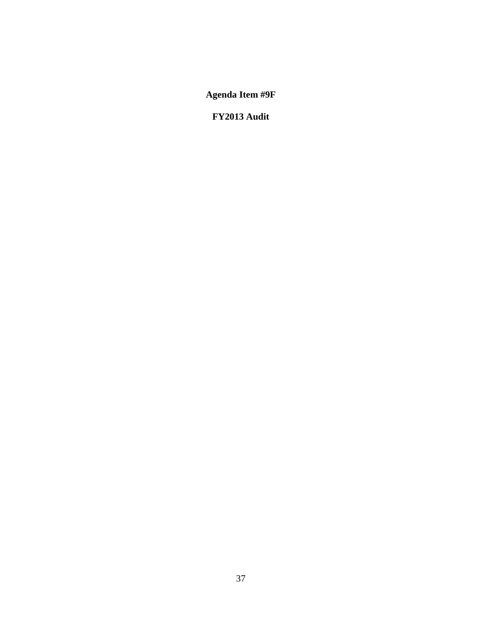**Agenda Item #9F** 

**FY2013 Audit**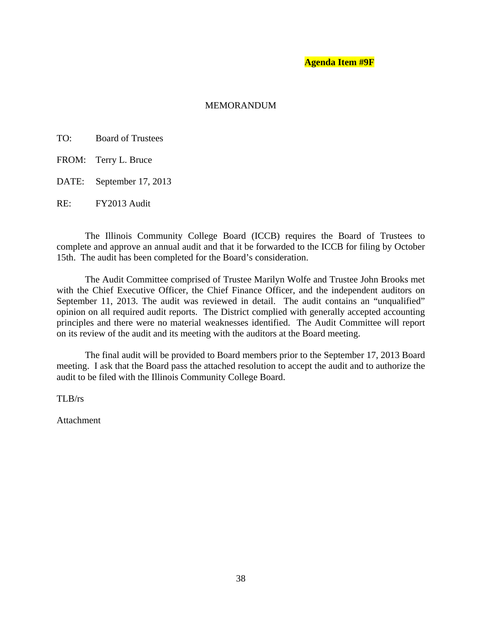#### **Agenda Item #9F**

#### **MEMORANDUM**

- TO: Board of Trustees
- FROM: Terry L. Bruce
- DATE: September 17, 2013

RE: FY2013 Audit

 The Illinois Community College Board (ICCB) requires the Board of Trustees to complete and approve an annual audit and that it be forwarded to the ICCB for filing by October 15th. The audit has been completed for the Board's consideration.

 The Audit Committee comprised of Trustee Marilyn Wolfe and Trustee John Brooks met with the Chief Executive Officer, the Chief Finance Officer, and the independent auditors on September 11, 2013. The audit was reviewed in detail. The audit contains an "unqualified" opinion on all required audit reports. The District complied with generally accepted accounting principles and there were no material weaknesses identified. The Audit Committee will report on its review of the audit and its meeting with the auditors at the Board meeting.

 The final audit will be provided to Board members prior to the September 17, 2013 Board meeting. I ask that the Board pass the attached resolution to accept the audit and to authorize the audit to be filed with the Illinois Community College Board.

TLB/rs

Attachment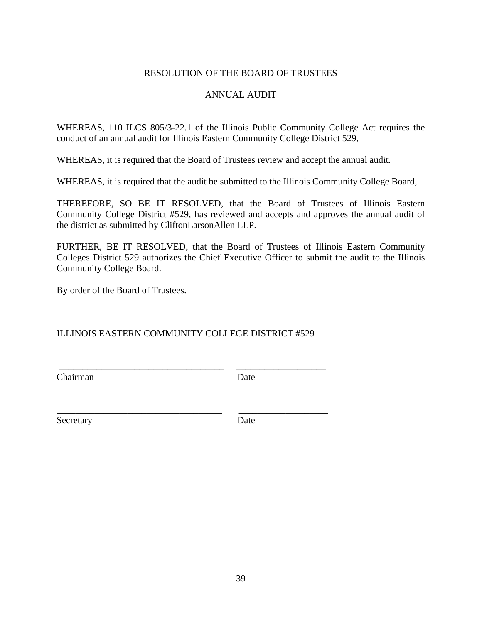# RESOLUTION OF THE BOARD OF TRUSTEES

# ANNUAL AUDIT

WHEREAS, 110 ILCS 805/3-22.1 of the Illinois Public Community College Act requires the conduct of an annual audit for Illinois Eastern Community College District 529,

WHEREAS, it is required that the Board of Trustees review and accept the annual audit.

WHEREAS, it is required that the audit be submitted to the Illinois Community College Board,

THEREFORE, SO BE IT RESOLVED, that the Board of Trustees of Illinois Eastern Community College District #529, has reviewed and accepts and approves the annual audit of the district as submitted by CliftonLarsonAllen LLP.

FURTHER, BE IT RESOLVED, that the Board of Trustees of Illinois Eastern Community Colleges District 529 authorizes the Chief Executive Officer to submit the audit to the Illinois Community College Board.

By order of the Board of Trustees.

# ILLINOIS EASTERN COMMUNITY COLLEGE DISTRICT #529

\_\_\_\_\_\_\_\_\_\_\_\_\_\_\_\_\_\_\_\_\_\_\_\_\_\_\_\_\_\_\_\_\_\_\_ \_\_\_\_\_\_\_\_\_\_\_\_\_\_\_\_\_\_\_

\_\_\_\_\_\_\_\_\_\_\_\_\_\_\_\_\_\_\_\_\_\_\_\_\_\_\_\_\_\_\_\_\_\_\_ \_\_\_\_\_\_\_\_\_\_\_\_\_\_\_\_\_\_\_

Chairman Date

Secretary Date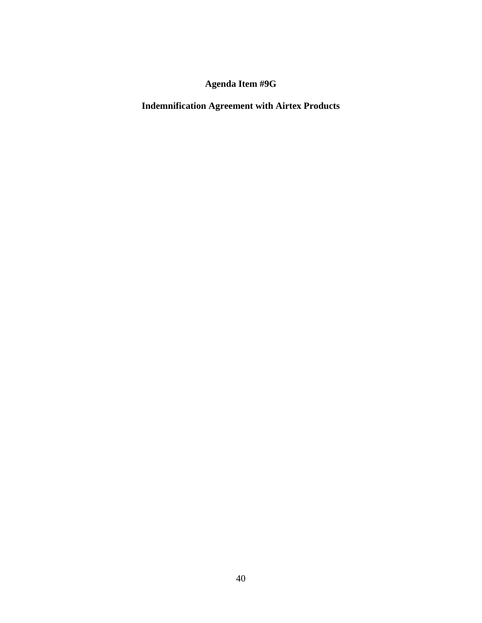# **Agenda Item #9G**

**Indemnification Agreement with Airtex Products**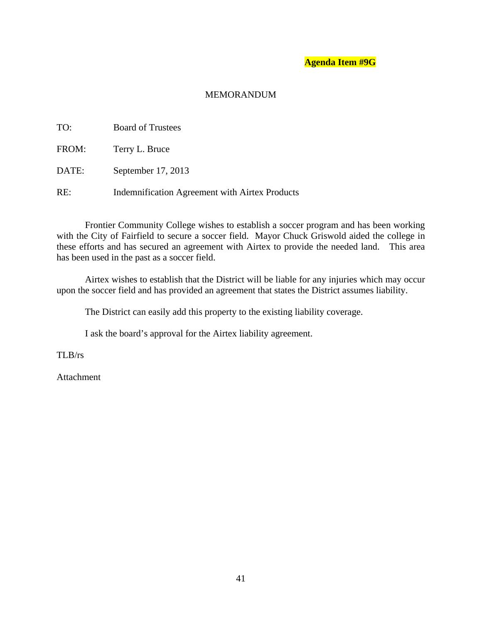# **Agenda Item #9G**

# MEMORANDUM

| TO:   | <b>Board of Trustees</b>                       |
|-------|------------------------------------------------|
| FROM: | Terry L. Bruce                                 |
| DATE: | September 17, 2013                             |
| RE:   | Indemnification Agreement with Airtex Products |

 Frontier Community College wishes to establish a soccer program and has been working with the City of Fairfield to secure a soccer field. Mayor Chuck Griswold aided the college in these efforts and has secured an agreement with Airtex to provide the needed land. This area has been used in the past as a soccer field.

 Airtex wishes to establish that the District will be liable for any injuries which may occur upon the soccer field and has provided an agreement that states the District assumes liability.

The District can easily add this property to the existing liability coverage.

I ask the board's approval for the Airtex liability agreement.

TLB/rs

Attachment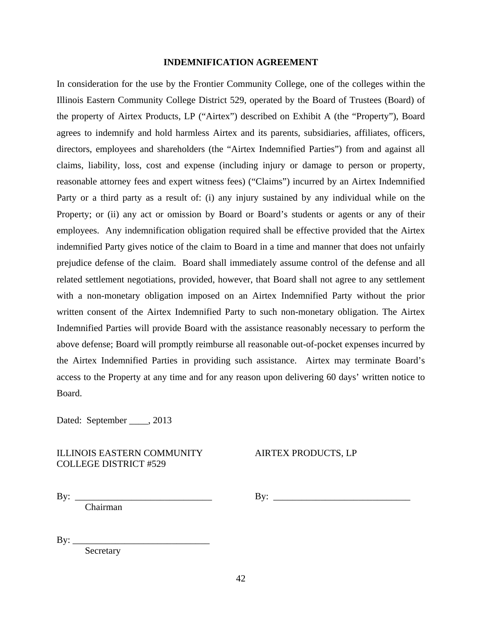#### **INDEMNIFICATION AGREEMENT**

In consideration for the use by the Frontier Community College, one of the colleges within the Illinois Eastern Community College District 529, operated by the Board of Trustees (Board) of the property of Airtex Products, LP ("Airtex") described on Exhibit A (the "Property"), Board agrees to indemnify and hold harmless Airtex and its parents, subsidiaries, affiliates, officers, directors, employees and shareholders (the "Airtex Indemnified Parties") from and against all claims, liability, loss, cost and expense (including injury or damage to person or property, reasonable attorney fees and expert witness fees) ("Claims") incurred by an Airtex Indemnified Party or a third party as a result of: (i) any injury sustained by any individual while on the Property; or (ii) any act or omission by Board or Board's students or agents or any of their employees. Any indemnification obligation required shall be effective provided that the Airtex indemnified Party gives notice of the claim to Board in a time and manner that does not unfairly prejudice defense of the claim. Board shall immediately assume control of the defense and all related settlement negotiations, provided, however, that Board shall not agree to any settlement with a non-monetary obligation imposed on an Airtex Indemnified Party without the prior written consent of the Airtex Indemnified Party to such non-monetary obligation. The Airtex Indemnified Parties will provide Board with the assistance reasonably necessary to perform the above defense; Board will promptly reimburse all reasonable out-of-pocket expenses incurred by the Airtex Indemnified Parties in providing such assistance. Airtex may terminate Board's access to the Property at any time and for any reason upon delivering 60 days' written notice to Board.

Dated: September \_\_\_\_, 2013

#### ILLINOIS EASTERN COMMUNITY AIRTEX PRODUCTS, LP COLLEGE DISTRICT #529

Chairman

By: \_\_\_\_\_\_\_\_\_\_\_\_\_\_\_\_\_\_\_\_\_\_\_\_\_\_\_\_\_ By: \_\_\_\_\_\_\_\_\_\_\_\_\_\_\_\_\_\_\_\_\_\_\_\_\_\_\_\_\_

 $\mathrm{By:}\_$ 

Secretary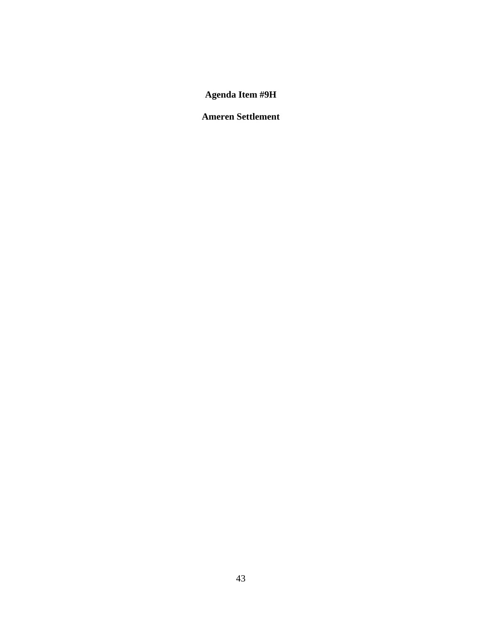# **Agenda Item #9H**

# **Ameren Settlement**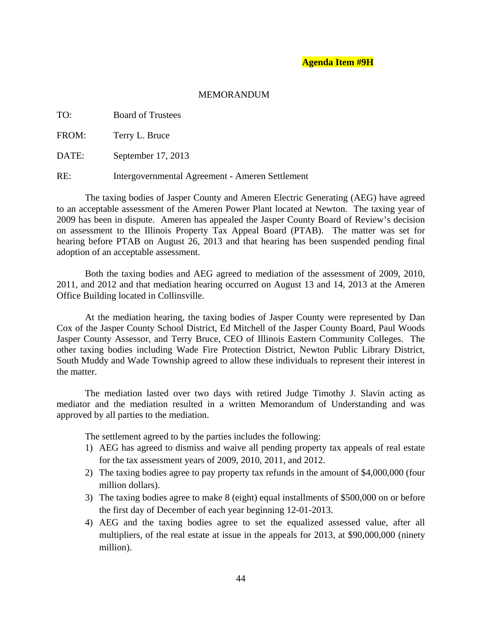#### MEMORANDUM

TO: Board of Trustees

FROM: Terry L. Bruce

DATE: September 17, 2013

RE: Intergovernmental Agreement - Ameren Settlement

 The taxing bodies of Jasper County and Ameren Electric Generating (AEG) have agreed to an acceptable assessment of the Ameren Power Plant located at Newton. The taxing year of 2009 has been in dispute. Ameren has appealed the Jasper County Board of Review's decision on assessment to the Illinois Property Tax Appeal Board (PTAB). The matter was set for hearing before PTAB on August 26, 2013 and that hearing has been suspended pending final adoption of an acceptable assessment.

Both the taxing bodies and AEG agreed to mediation of the assessment of 2009, 2010, 2011, and 2012 and that mediation hearing occurred on August 13 and 14, 2013 at the Ameren Office Building located in Collinsville.

 At the mediation hearing, the taxing bodies of Jasper County were represented by Dan Cox of the Jasper County School District, Ed Mitchell of the Jasper County Board, Paul Woods Jasper County Assessor, and Terry Bruce, CEO of Illinois Eastern Community Colleges. The other taxing bodies including Wade Fire Protection District, Newton Public Library District, South Muddy and Wade Township agreed to allow these individuals to represent their interest in the matter.

 The mediation lasted over two days with retired Judge Timothy J. Slavin acting as mediator and the mediation resulted in a written Memorandum of Understanding and was approved by all parties to the mediation.

The settlement agreed to by the parties includes the following:

- 1) AEG has agreed to dismiss and waive all pending property tax appeals of real estate for the tax assessment years of 2009, 2010, 2011, and 2012.
- 2) The taxing bodies agree to pay property tax refunds in the amount of \$4,000,000 (four million dollars).
- 3) The taxing bodies agree to make 8 (eight) equal installments of \$500,000 on or before the first day of December of each year beginning 12-01-2013.
- 4) AEG and the taxing bodies agree to set the equalized assessed value, after all multipliers, of the real estate at issue in the appeals for 2013, at \$90,000,000 (ninety million).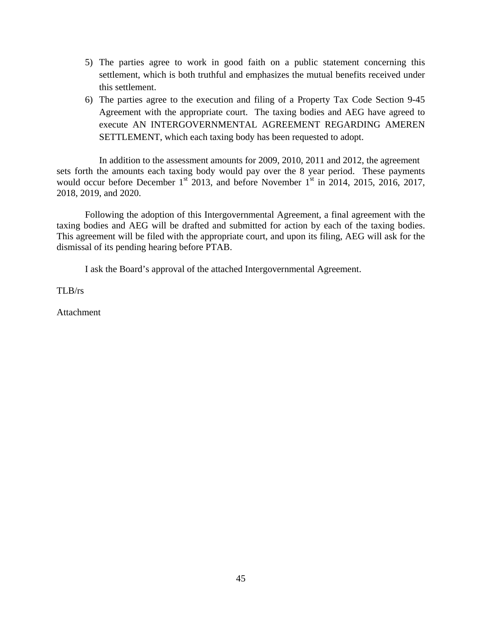- 5) The parties agree to work in good faith on a public statement concerning this settlement, which is both truthful and emphasizes the mutual benefits received under this settlement.
- 6) The parties agree to the execution and filing of a Property Tax Code Section 9-45 Agreement with the appropriate court. The taxing bodies and AEG have agreed to execute AN INTERGOVERNMENTAL AGREEMENT REGARDING AMEREN SETTLEMENT, which each taxing body has been requested to adopt.

In addition to the assessment amounts for 2009, 2010, 2011 and 2012, the agreement sets forth the amounts each taxing body would pay over the 8 year period. These payments would occur before December  $1<sup>st</sup>$  2013, and before November  $1<sup>st</sup>$  in 2014, 2015, 2016, 2017, 2018, 2019, and 2020.

 Following the adoption of this Intergovernmental Agreement, a final agreement with the taxing bodies and AEG will be drafted and submitted for action by each of the taxing bodies. This agreement will be filed with the appropriate court, and upon its filing, AEG will ask for the dismissal of its pending hearing before PTAB.

I ask the Board's approval of the attached Intergovernmental Agreement.

TLB/rs

Attachment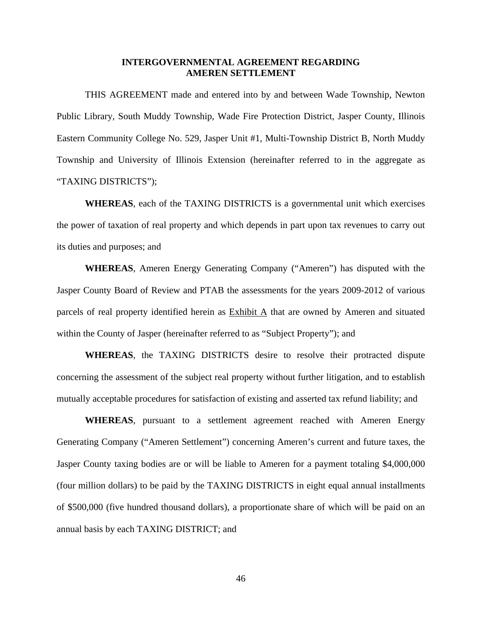#### **INTERGOVERNMENTAL AGREEMENT REGARDING AMEREN SETTLEMENT**

 THIS AGREEMENT made and entered into by and between Wade Township, Newton Public Library, South Muddy Township, Wade Fire Protection District, Jasper County, Illinois Eastern Community College No. 529, Jasper Unit #1, Multi-Township District B, North Muddy Township and University of Illinois Extension (hereinafter referred to in the aggregate as "TAXING DISTRICTS");

**WHEREAS**, each of the TAXING DISTRICTS is a governmental unit which exercises the power of taxation of real property and which depends in part upon tax revenues to carry out its duties and purposes; and

 **WHEREAS**, Ameren Energy Generating Company ("Ameren") has disputed with the Jasper County Board of Review and PTAB the assessments for the years 2009-2012 of various parcels of real property identified herein as Exhibit A that are owned by Ameren and situated within the County of Jasper (hereinafter referred to as "Subject Property"); and

**WHEREAS**, the TAXING DISTRICTS desire to resolve their protracted dispute concerning the assessment of the subject real property without further litigation, and to establish mutually acceptable procedures for satisfaction of existing and asserted tax refund liability; and

**WHEREAS**, pursuant to a settlement agreement reached with Ameren Energy Generating Company ("Ameren Settlement") concerning Ameren's current and future taxes, the Jasper County taxing bodies are or will be liable to Ameren for a payment totaling \$4,000,000 (four million dollars) to be paid by the TAXING DISTRICTS in eight equal annual installments of \$500,000 (five hundred thousand dollars), a proportionate share of which will be paid on an annual basis by each TAXING DISTRICT; and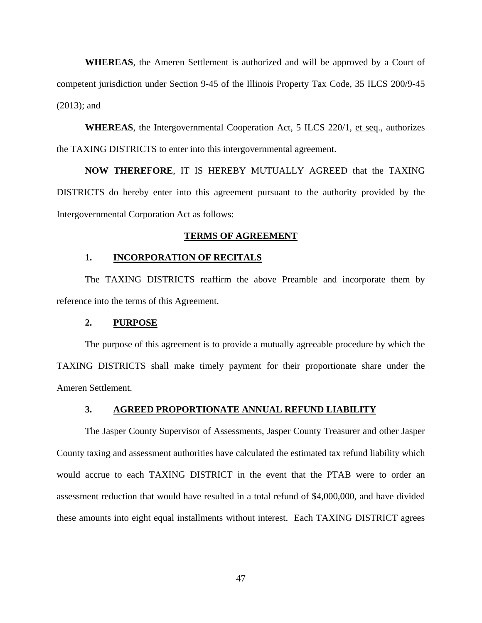**WHEREAS**, the Ameren Settlement is authorized and will be approved by a Court of competent jurisdiction under Section 9-45 of the Illinois Property Tax Code, 35 ILCS 200/9-45 (2013); and

**WHEREAS**, the Intergovernmental Cooperation Act, 5 ILCS 220/1, et seq., authorizes the TAXING DISTRICTS to enter into this intergovernmental agreement.

**NOW THEREFORE**, IT IS HEREBY MUTUALLY AGREED that the TAXING DISTRICTS do hereby enter into this agreement pursuant to the authority provided by the Intergovernmental Corporation Act as follows:

#### **TERMS OF AGREEMENT**

### **1. INCORPORATION OF RECITALS**

 The TAXING DISTRICTS reaffirm the above Preamble and incorporate them by reference into the terms of this Agreement.

#### **2. PURPOSE**

 The purpose of this agreement is to provide a mutually agreeable procedure by which the TAXING DISTRICTS shall make timely payment for their proportionate share under the Ameren Settlement.

#### **3. AGREED PROPORTIONATE ANNUAL REFUND LIABILITY**

 The Jasper County Supervisor of Assessments, Jasper County Treasurer and other Jasper County taxing and assessment authorities have calculated the estimated tax refund liability which would accrue to each TAXING DISTRICT in the event that the PTAB were to order an assessment reduction that would have resulted in a total refund of \$4,000,000, and have divided these amounts into eight equal installments without interest. Each TAXING DISTRICT agrees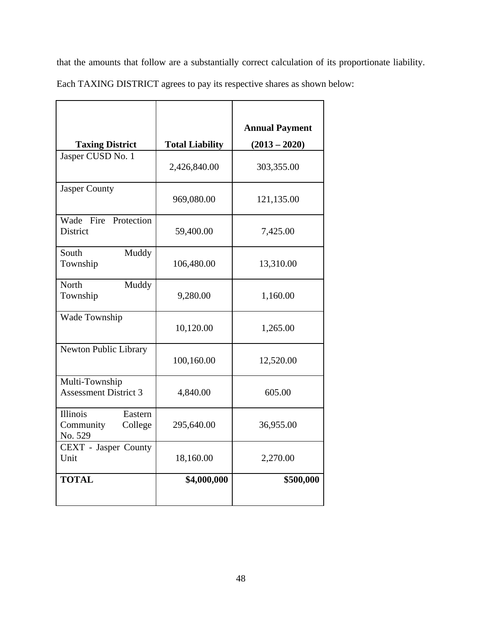that the amounts that follow are a substantially correct calculation of its proportionate liability.

Each TAXING DISTRICT agrees to pay its respective shares as shown below:

|                                                        |                        | <b>Annual Payment</b> |
|--------------------------------------------------------|------------------------|-----------------------|
| <b>Taxing District</b>                                 | <b>Total Liability</b> | $(2013 - 2020)$       |
| Jasper CUSD No. 1                                      | 2,426,840.00           | 303,355.00            |
| <b>Jasper County</b>                                   | 969,080.00             | 121,135.00            |
| Wade Fire Protection<br><b>District</b>                | 59,400.00              | 7,425.00              |
| South<br>Muddy<br>Township                             | 106,480.00             | 13,310.00             |
| North<br>Muddy<br>Township                             | 9,280.00               | 1,160.00              |
| Wade Township                                          | 10,120.00              | 1,265.00              |
| Newton Public Library                                  | 100,160.00             | 12,520.00             |
| Multi-Township<br><b>Assessment District 3</b>         | 4,840.00               | 605.00                |
| Illinois<br>Eastern<br>Community<br>College<br>No. 529 | 295,640.00             | 36,955.00             |
| CEXT - Jasper County<br>Unit                           | 18,160.00              | 2,270.00              |
| <b>TOTAL</b>                                           | \$4,000,000            | \$500,000             |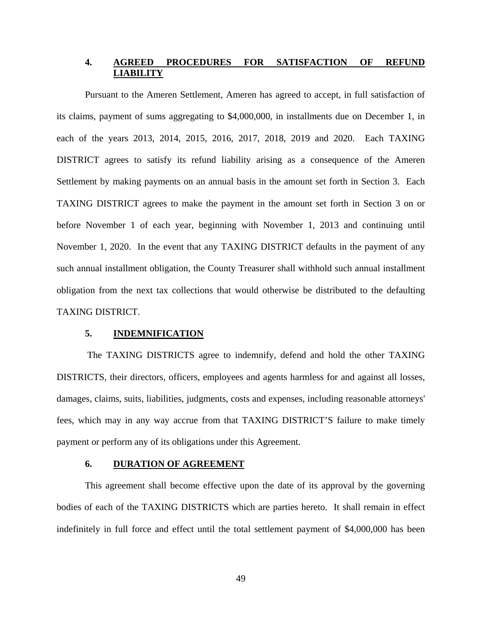# **4. AGREED PROCEDURES FOR SATISFACTION OF REFUND LIABILITY**

Pursuant to the Ameren Settlement, Ameren has agreed to accept, in full satisfaction of its claims, payment of sums aggregating to \$4,000,000, in installments due on December 1, in each of the years 2013, 2014, 2015, 2016, 2017, 2018, 2019 and 2020. Each TAXING DISTRICT agrees to satisfy its refund liability arising as a consequence of the Ameren Settlement by making payments on an annual basis in the amount set forth in Section 3. Each TAXING DISTRICT agrees to make the payment in the amount set forth in Section 3 on or before November 1 of each year, beginning with November 1, 2013 and continuing until November 1, 2020. In the event that any TAXING DISTRICT defaults in the payment of any such annual installment obligation, the County Treasurer shall withhold such annual installment obligation from the next tax collections that would otherwise be distributed to the defaulting TAXING DISTRICT.

#### **5. INDEMNIFICATION**

 The TAXING DISTRICTS agree to indemnify, defend and hold the other TAXING DISTRICTS, their directors, officers, employees and agents harmless for and against all losses, damages, claims, suits, liabilities, judgments, costs and expenses, including reasonable attorneys' fees, which may in any way accrue from that TAXING DISTRICT'S failure to make timely payment or perform any of its obligations under this Agreement.

#### **6. DURATION OF AGREEMENT**

 This agreement shall become effective upon the date of its approval by the governing bodies of each of the TAXING DISTRICTS which are parties hereto. It shall remain in effect indefinitely in full force and effect until the total settlement payment of \$4,000,000 has been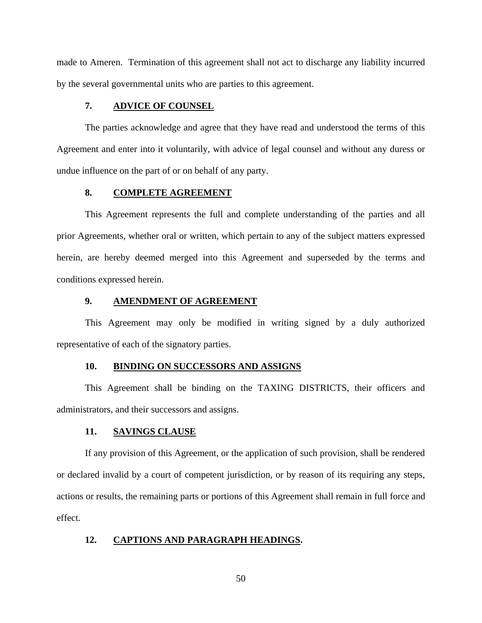made to Ameren. Termination of this agreement shall not act to discharge any liability incurred by the several governmental units who are parties to this agreement.

### **7. ADVICE OF COUNSEL**

 The parties acknowledge and agree that they have read and understood the terms of this Agreement and enter into it voluntarily, with advice of legal counsel and without any duress or undue influence on the part of or on behalf of any party.

#### **8. COMPLETE AGREEMENT**

 This Agreement represents the full and complete understanding of the parties and all prior Agreements, whether oral or written, which pertain to any of the subject matters expressed herein, are hereby deemed merged into this Agreement and superseded by the terms and conditions expressed herein.

#### **9. AMENDMENT OF AGREEMENT**

 This Agreement may only be modified in writing signed by a duly authorized representative of each of the signatory parties.

#### **10. BINDING ON SUCCESSORS AND ASSIGNS**

 This Agreement shall be binding on the TAXING DISTRICTS, their officers and administrators, and their successors and assigns.

#### **11. SAVINGS CLAUSE**

If any provision of this Agreement, or the application of such provision, shall be rendered or declared invalid by a court of competent jurisdiction, or by reason of its requiring any steps, actions or results, the remaining parts or portions of this Agreement shall remain in full force and effect.

#### **12. CAPTIONS AND PARAGRAPH HEADINGS.**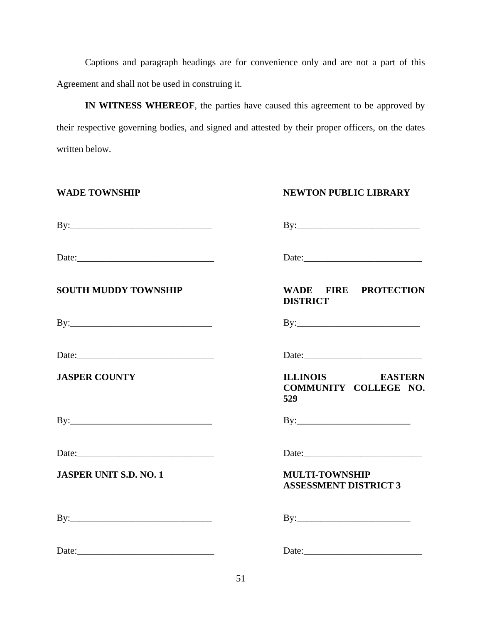Captions and paragraph headings are for convenience only and are not a part of this Agreement and shall not be used in construing it.

 **IN WITNESS WHEREOF**, the parties have caused this agreement to be approved by their respective governing bodies, and signed and attested by their proper officers, on the dates written below.

| <b>WADE TOWNSHIP</b>          | <b>NEWTON PUBLIC LIBRARY</b>                                                                                                                                                                                                                                                                                                                                                                                                                          |
|-------------------------------|-------------------------------------------------------------------------------------------------------------------------------------------------------------------------------------------------------------------------------------------------------------------------------------------------------------------------------------------------------------------------------------------------------------------------------------------------------|
|                               |                                                                                                                                                                                                                                                                                                                                                                                                                                                       |
|                               | Date: $\qquad \qquad$ Date:                                                                                                                                                                                                                                                                                                                                                                                                                           |
| <b>SOUTH MUDDY TOWNSHIP</b>   | WADE FIRE PROTECTION<br><b>DISTRICT</b>                                                                                                                                                                                                                                                                                                                                                                                                               |
|                               | $\text{By:}\n \begin{array}{c}\n \text{By:}\n \end{array}$                                                                                                                                                                                                                                                                                                                                                                                            |
| Date: $\qquad \qquad$         | Date: $\qquad \qquad$                                                                                                                                                                                                                                                                                                                                                                                                                                 |
| <b>JASPER COUNTY</b>          | ILLINOIS EASTERN<br>COMMUNITY COLLEGE NO.<br>529                                                                                                                                                                                                                                                                                                                                                                                                      |
|                               |                                                                                                                                                                                                                                                                                                                                                                                                                                                       |
|                               |                                                                                                                                                                                                                                                                                                                                                                                                                                                       |
| <b>JASPER UNIT S.D. NO. 1</b> | <b>MULTI-TOWNSHIP</b><br><b>ASSESSMENT DISTRICT 3</b>                                                                                                                                                                                                                                                                                                                                                                                                 |
|                               | $By: \begin{tabular}{ c c c } \hline \multicolumn{3}{ c }{\textbf{By:}} & \multicolumn{3}{ c }{\textbf{By:}} \\ \hline \multicolumn{3}{ c }{\textbf{By:}} & \multicolumn{3}{ c }{\textbf{By:}} \\ \hline \multicolumn{3}{ c }{\textbf{By:}} & \multicolumn{3}{ c }{\textbf{By:}} \\ \hline \multicolumn{3}{ c }{\textbf{By:}} & \multicolumn{3}{ c }{\textbf{By:}} \\ \hline \multicolumn{3}{ c }{\textbf{By:}} & \multicolumn{3}{ c }{\textbf{By:}}$ |
|                               |                                                                                                                                                                                                                                                                                                                                                                                                                                                       |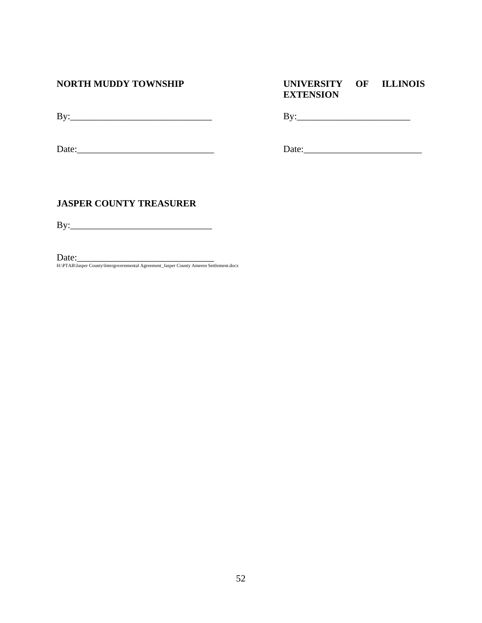# **NORTH MUDDY TOWNSHIP UNIVERSITY OF ILLINOIS EXTENSION**

By:\_\_\_\_\_\_\_\_\_\_\_\_\_\_\_\_\_\_\_\_\_\_\_\_\_\_\_\_\_\_ By:\_\_\_\_\_\_\_\_\_\_\_\_\_\_\_\_\_\_\_\_\_\_\_\_

Date:\_\_\_\_\_\_\_\_\_\_\_\_\_\_\_\_\_\_\_\_\_\_\_\_\_\_\_\_\_ Date:\_\_\_\_\_\_\_\_\_\_\_\_\_\_\_\_\_\_\_\_\_\_\_\_\_

# **JASPER COUNTY TREASURER**

By:\_\_\_\_\_\_\_\_\_\_\_\_\_\_\_\_\_\_\_\_\_\_\_\_\_\_\_\_\_\_

Date:\_\_\_\_\_\_\_\_\_\_\_\_\_\_\_\_\_\_\_\_\_\_\_\_\_\_\_\_\_ H:\PTAB\Jasper County\Intergovernmental Agreement\_Jasper County Ameren Settlement.docx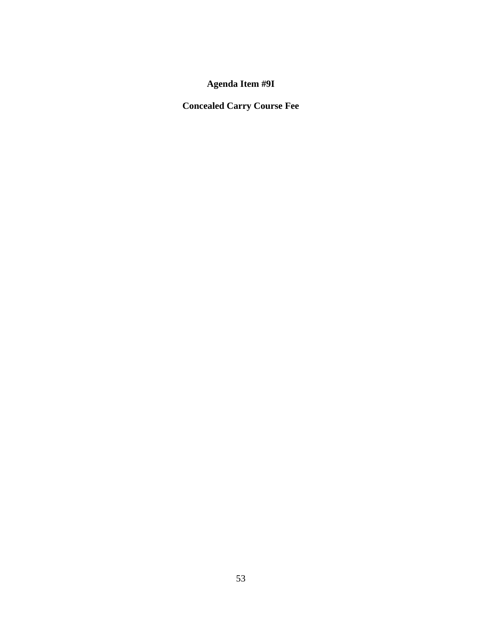**Agenda Item #9I** 

**Concealed Carry Course Fee**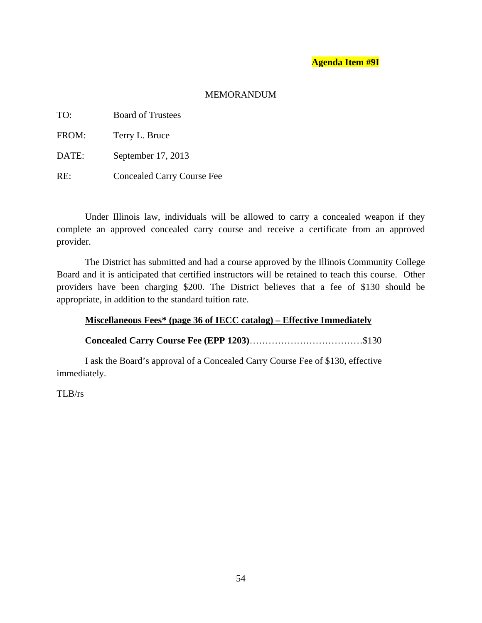# **Agenda Item #9I**

# MEMORANDUM

| TO:   | <b>Board of Trustees</b>          |
|-------|-----------------------------------|
| FROM: | Terry L. Bruce                    |
| DATE: | September 17, 2013                |
| RE:   | <b>Concealed Carry Course Fee</b> |

 Under Illinois law, individuals will be allowed to carry a concealed weapon if they complete an approved concealed carry course and receive a certificate from an approved provider.

 The District has submitted and had a course approved by the Illinois Community College Board and it is anticipated that certified instructors will be retained to teach this course. Other providers have been charging \$200. The District believes that a fee of \$130 should be appropriate, in addition to the standard tuition rate.

# **Miscellaneous Fees\* (page 36 of IECC catalog) – Effective Immediately**

 **Concealed Carry Course Fee (EPP 1203)**………………………………\$130

 I ask the Board's approval of a Concealed Carry Course Fee of \$130, effective immediately.

TLB/rs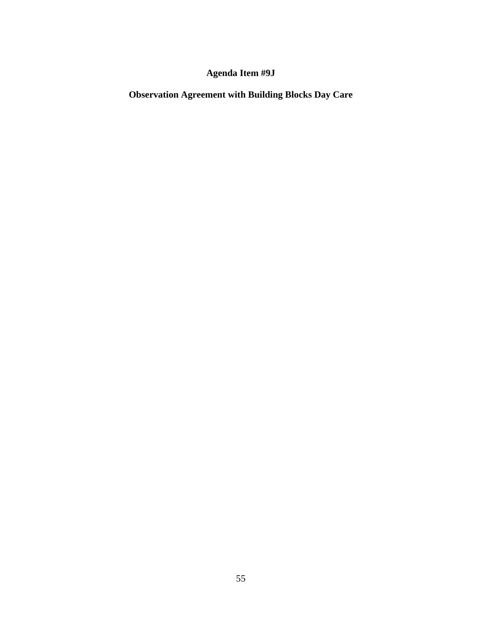# **Agenda Item #9J**

**Observation Agreement with Building Blocks Day Care**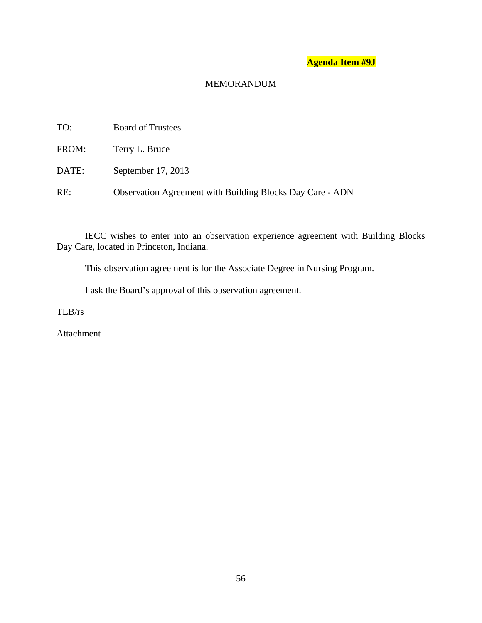# **Agenda Item #9J**

# MEMORANDUM

| TO:   | <b>Board of Trustees</b>                                         |
|-------|------------------------------------------------------------------|
| FROM: | Terry L. Bruce                                                   |
| DATE: | September 17, 2013                                               |
| RE:   | <b>Observation Agreement with Building Blocks Day Care - ADN</b> |

 IECC wishes to enter into an observation experience agreement with Building Blocks Day Care, located in Princeton, Indiana.

This observation agreement is for the Associate Degree in Nursing Program.

I ask the Board's approval of this observation agreement.

TLB/rs

Attachment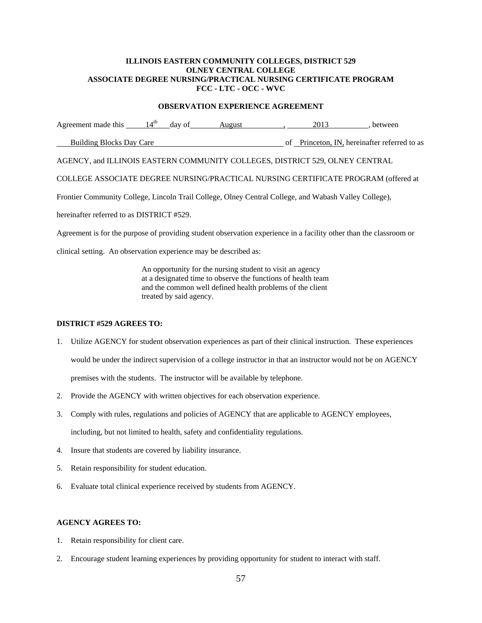#### **ILLINOIS EASTERN COMMUNITY COLLEGES, DISTRICT 529 OLNEY CENTRAL COLLEGE ASSOCIATE DEGREE NURSING/PRACTICAL NURSING CERTIFICATE PROGRAM FCC - LTC - OCC - WVC**

#### **OBSERVATION EXPERIENCE AGREEMENT**

Agreement made this  $14^{th}$  day of August , 2013 , between Building Blocks Day Care of Princeton, IN, hereinafter referred to as AGENCY, and ILLINOIS EASTERN COMMUNITY COLLEGES, DISTRICT 529, OLNEY CENTRAL

COLLEGE ASSOCIATE DEGREE NURSING/PRACTICAL NURSING CERTIFICATE PROGRAM (offered at

Frontier Community College, Lincoln Trail College, Olney Central College, and Wabash Valley College),

hereinafter referred to as DISTRICT #529.

Agreement is for the purpose of providing student observation experience in a facility other than the classroom or

clinical setting. An observation experience may be described as:

 An opportunity for the nursing student to visit an agency at a designated time to observe the functions of health team and the common well defined health problems of the client treated by said agency.

#### **DISTRICT #529 AGREES TO:**

- 1. Utilize AGENCY for student observation experiences as part of their clinical instruction. These experiences would be under the indirect supervision of a college instructor in that an instructor would not be on AGENCY premises with the students. The instructor will be available by telephone.
- 2. Provide the AGENCY with written objectives for each observation experience.
- 3. Comply with rules, regulations and policies of AGENCY that are applicable to AGENCY employees, including, but not limited to health, safety and confidentiality regulations.
- 4. Insure that students are covered by liability insurance.
- 5. Retain responsibility for student education.
- 6. Evaluate total clinical experience received by students from AGENCY.

#### **AGENCY AGREES TO:**

- 1. Retain responsibility for client care.
- 2. Encourage student learning experiences by providing opportunity for student to interact with staff.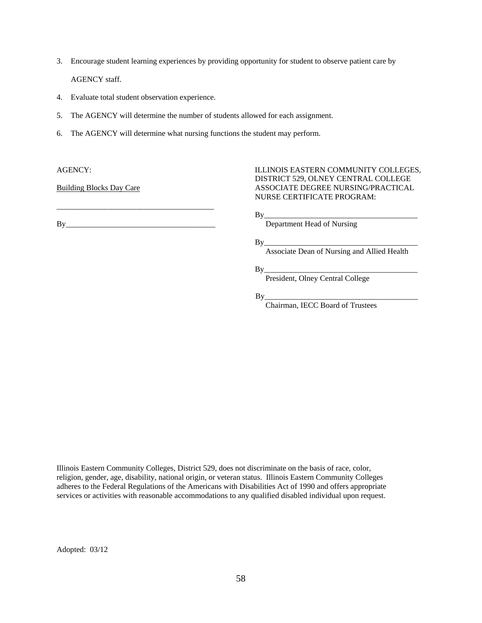- 3. Encourage student learning experiences by providing opportunity for student to observe patient care by AGENCY staff.
- 4. Evaluate total student observation experience.
- 5. The AGENCY will determine the number of students allowed for each assignment.
- 6. The AGENCY will determine what nursing functions the student may perform.

By\_\_\_\_\_\_\_\_\_\_\_\_\_\_\_\_\_\_\_\_\_\_\_\_\_\_\_\_\_\_\_\_\_\_\_\_\_\_ Department Head of Nursing

\_\_\_\_\_\_\_\_\_\_\_\_\_\_\_\_\_\_\_\_\_\_\_\_\_\_\_\_\_\_\_\_\_\_\_\_\_\_\_\_

AGENCY: ILLINOIS EASTERN COMMUNITY COLLEGES, DISTRICT 529, OLNEY CENTRAL COLLEGE Building Blocks Day Care ASSOCIATE DEGREE NURSING/PRACTICAL NURSE CERTIFICATE PROGRAM:

By\_\_\_\_\_\_\_\_\_\_\_\_\_\_\_\_\_\_\_\_\_\_\_\_\_\_\_\_\_\_\_\_\_\_\_\_\_\_\_

 $\mathbf{B} \mathbf{y}$  , and the set of  $\mathbf{B} \mathbf{y}$  , and the set of  $\mathbf{B} \mathbf{y}$  , and the set of  $\mathbf{B} \mathbf{y}$ 

Associate Dean of Nursing and Allied Health

 $\mathbf{B} \mathbf{y}$  , and the set of  $\mathbf{B} \mathbf{y}$  , and the set of  $\mathbf{B} \mathbf{y}$  , and the set of  $\mathbf{B} \mathbf{y}$ 

President, Olney Central College

 By\_\_\_\_\_\_\_\_\_\_\_\_\_\_\_\_\_\_\_\_\_\_\_\_\_\_\_\_\_\_\_\_\_\_\_\_\_\_\_ Chairman, IECC Board of Trustees

Illinois Eastern Community Colleges, District 529, does not discriminate on the basis of race, color, religion, gender, age, disability, national origin, or veteran status. Illinois Eastern Community Colleges adheres to the Federal Regulations of the Americans with Disabilities Act of 1990 and offers appropriate services or activities with reasonable accommodations to any qualified disabled individual upon request.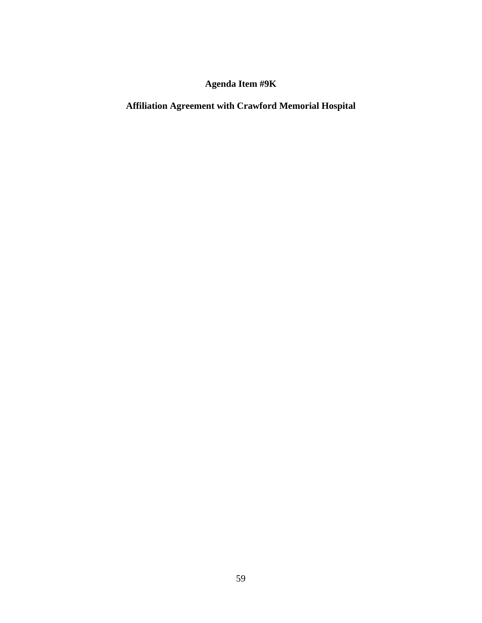# **Agenda Item #9K**

# **Affiliation Agreement with Crawford Memorial Hospital**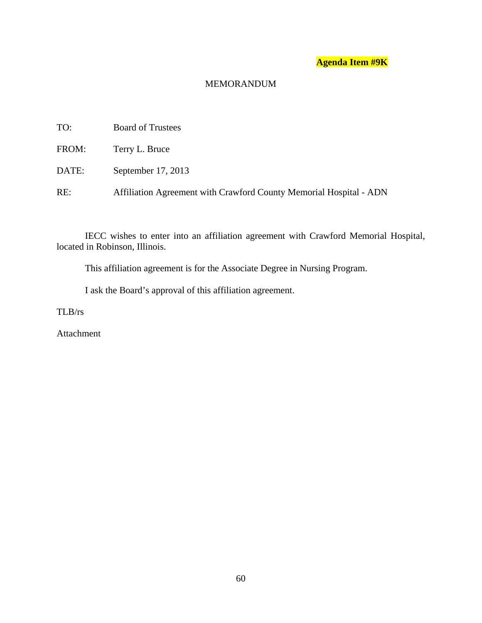# **Agenda Item #9K**

# MEMORANDUM

| TO:   | <b>Board of Trustees</b>                                           |
|-------|--------------------------------------------------------------------|
| FROM: | Terry L. Bruce                                                     |
| DATE: | September 17, 2013                                                 |
| RE:   | Affiliation Agreement with Crawford County Memorial Hospital - ADN |

 IECC wishes to enter into an affiliation agreement with Crawford Memorial Hospital, located in Robinson, Illinois.

This affiliation agreement is for the Associate Degree in Nursing Program.

I ask the Board's approval of this affiliation agreement.

TLB/rs

Attachment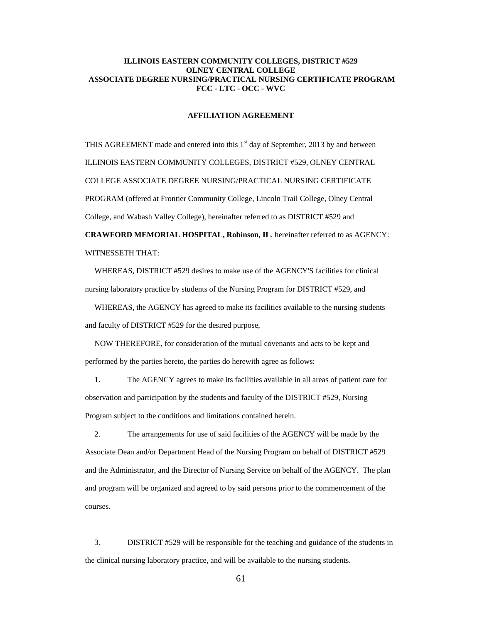#### **ILLINOIS EASTERN COMMUNITY COLLEGES, DISTRICT #529 OLNEY CENTRAL COLLEGE ASSOCIATE DEGREE NURSING/PRACTICAL NURSING CERTIFICATE PROGRAM FCC - LTC - OCC - WVC**

#### **AFFILIATION AGREEMENT**

THIS AGREEMENT made and entered into this  $1<sup>st</sup>$  day of September, 2013 by and between ILLINOIS EASTERN COMMUNITY COLLEGES, DISTRICT #529, OLNEY CENTRAL COLLEGE ASSOCIATE DEGREE NURSING/PRACTICAL NURSING CERTIFICATE PROGRAM (offered at Frontier Community College, Lincoln Trail College, Olney Central College, and Wabash Valley College), hereinafter referred to as DISTRICT #529 and **CRAWFORD MEMORIAL HOSPITAL, Robinson, IL**, hereinafter referred to as AGENCY:

WITNESSETH THAT:

 WHEREAS, DISTRICT #529 desires to make use of the AGENCY'S facilities for clinical nursing laboratory practice by students of the Nursing Program for DISTRICT #529, and

 WHEREAS, the AGENCY has agreed to make its facilities available to the nursing students and faculty of DISTRICT #529 for the desired purpose,

 NOW THEREFORE, for consideration of the mutual covenants and acts to be kept and performed by the parties hereto, the parties do herewith agree as follows:

 1. The AGENCY agrees to make its facilities available in all areas of patient care for observation and participation by the students and faculty of the DISTRICT #529, Nursing Program subject to the conditions and limitations contained herein.

 2. The arrangements for use of said facilities of the AGENCY will be made by the Associate Dean and/or Department Head of the Nursing Program on behalf of DISTRICT #529 and the Administrator, and the Director of Nursing Service on behalf of the AGENCY. The plan and program will be organized and agreed to by said persons prior to the commencement of the courses.

 3. DISTRICT #529 will be responsible for the teaching and guidance of the students in the clinical nursing laboratory practice, and will be available to the nursing students.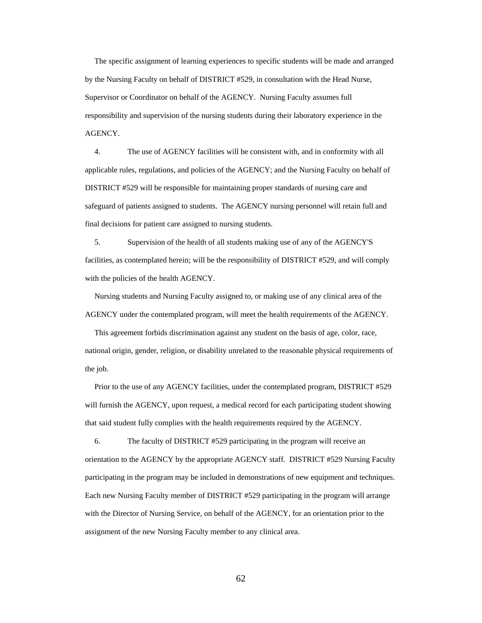The specific assignment of learning experiences to specific students will be made and arranged by the Nursing Faculty on behalf of DISTRICT #529, in consultation with the Head Nurse, Supervisor or Coordinator on behalf of the AGENCY. Nursing Faculty assumes full responsibility and supervision of the nursing students during their laboratory experience in the AGENCY.

 4. The use of AGENCY facilities will be consistent with, and in conformity with all applicable rules, regulations, and policies of the AGENCY; and the Nursing Faculty on behalf of DISTRICT #529 will be responsible for maintaining proper standards of nursing care and safeguard of patients assigned to students. The AGENCY nursing personnel will retain full and final decisions for patient care assigned to nursing students.

 5. Supervision of the health of all students making use of any of the AGENCY'S facilities, as contemplated herein; will be the responsibility of DISTRICT #529, and will comply with the policies of the health AGENCY.

 Nursing students and Nursing Faculty assigned to, or making use of any clinical area of the AGENCY under the contemplated program, will meet the health requirements of the AGENCY.

 This agreement forbids discrimination against any student on the basis of age, color, race, national origin, gender, religion, or disability unrelated to the reasonable physical requirements of the job.

 Prior to the use of any AGENCY facilities, under the contemplated program, DISTRICT #529 will furnish the AGENCY, upon request, a medical record for each participating student showing that said student fully complies with the health requirements required by the AGENCY.

 6. The faculty of DISTRICT #529 participating in the program will receive an orientation to the AGENCY by the appropriate AGENCY staff. DISTRICT #529 Nursing Faculty participating in the program may be included in demonstrations of new equipment and techniques. Each new Nursing Faculty member of DISTRICT #529 participating in the program will arrange with the Director of Nursing Service, on behalf of the AGENCY, for an orientation prior to the assignment of the new Nursing Faculty member to any clinical area.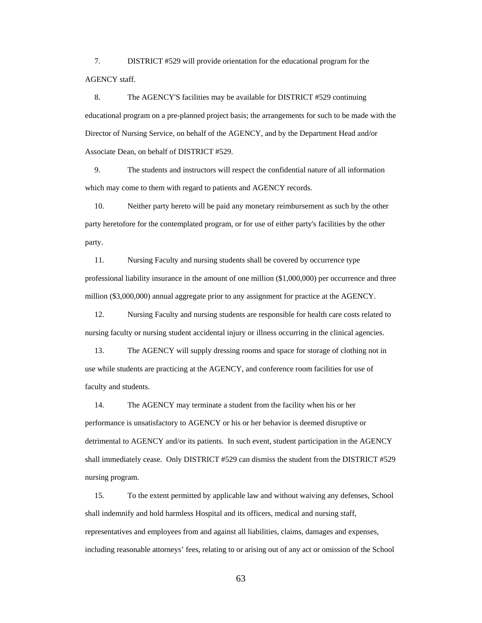7. DISTRICT #529 will provide orientation for the educational program for the AGENCY staff.

 8. The AGENCY'S facilities may be available for DISTRICT #529 continuing educational program on a pre-planned project basis; the arrangements for such to be made with the Director of Nursing Service, on behalf of the AGENCY, and by the Department Head and/or Associate Dean, on behalf of DISTRICT #529.

 9. The students and instructors will respect the confidential nature of all information which may come to them with regard to patients and AGENCY records.

 10. Neither party hereto will be paid any monetary reimbursement as such by the other party heretofore for the contemplated program, or for use of either party's facilities by the other party.

 11. Nursing Faculty and nursing students shall be covered by occurrence type professional liability insurance in the amount of one million (\$1,000,000) per occurrence and three million (\$3,000,000) annual aggregate prior to any assignment for practice at the AGENCY.

 12. Nursing Faculty and nursing students are responsible for health care costs related to nursing faculty or nursing student accidental injury or illness occurring in the clinical agencies.

 13. The AGENCY will supply dressing rooms and space for storage of clothing not in use while students are practicing at the AGENCY, and conference room facilities for use of faculty and students.

 14. The AGENCY may terminate a student from the facility when his or her performance is unsatisfactory to AGENCY or his or her behavior is deemed disruptive or detrimental to AGENCY and/or its patients. In such event, student participation in the AGENCY shall immediately cease. Only DISTRICT #529 can dismiss the student from the DISTRICT #529 nursing program.

 15. To the extent permitted by applicable law and without waiving any defenses, School shall indemnify and hold harmless Hospital and its officers, medical and nursing staff, representatives and employees from and against all liabilities, claims, damages and expenses, including reasonable attorneys' fees, relating to or arising out of any act or omission of the School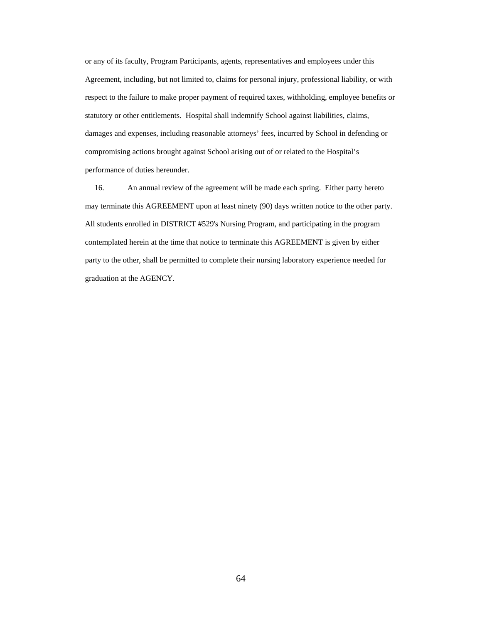or any of its faculty, Program Participants, agents, representatives and employees under this Agreement, including, but not limited to, claims for personal injury, professional liability, or with respect to the failure to make proper payment of required taxes, withholding, employee benefits or statutory or other entitlements. Hospital shall indemnify School against liabilities, claims, damages and expenses, including reasonable attorneys' fees, incurred by School in defending or compromising actions brought against School arising out of or related to the Hospital's performance of duties hereunder.

 16. An annual review of the agreement will be made each spring. Either party hereto may terminate this AGREEMENT upon at least ninety (90) days written notice to the other party. All students enrolled in DISTRICT #529's Nursing Program, and participating in the program contemplated herein at the time that notice to terminate this AGREEMENT is given by either party to the other, shall be permitted to complete their nursing laboratory experience needed for graduation at the AGENCY.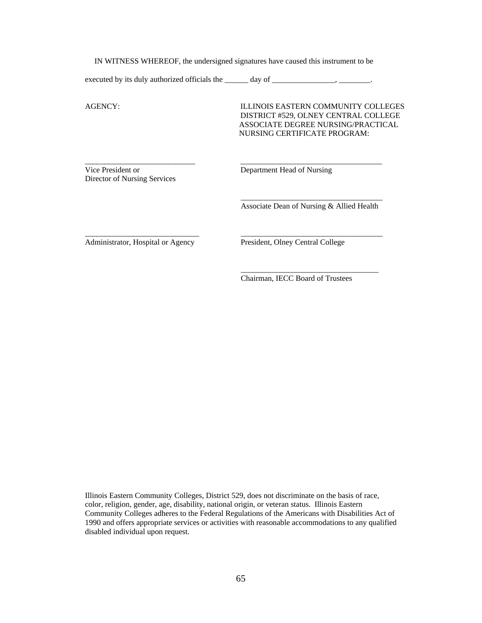IN WITNESS WHEREOF, the undersigned signatures have caused this instrument to be

\_\_\_\_\_\_\_\_\_\_\_\_\_\_\_\_\_\_\_\_\_\_\_\_\_\_\_\_ \_\_\_\_\_\_\_\_\_\_\_\_\_\_\_\_\_\_\_\_\_\_\_\_\_\_\_\_\_\_\_\_\_\_\_\_

 $\frac{1}{2}$  ,  $\frac{1}{2}$  ,  $\frac{1}{2}$  ,  $\frac{1}{2}$  ,  $\frac{1}{2}$  ,  $\frac{1}{2}$  ,  $\frac{1}{2}$  ,  $\frac{1}{2}$  ,  $\frac{1}{2}$  ,  $\frac{1}{2}$  ,  $\frac{1}{2}$  ,  $\frac{1}{2}$  ,  $\frac{1}{2}$  ,  $\frac{1}{2}$  ,  $\frac{1}{2}$  ,  $\frac{1}{2}$  ,  $\frac{1}{2}$  ,  $\frac{1}{2}$  ,  $\frac{1$ 

\_\_\_\_\_\_\_\_\_\_\_\_\_\_\_\_\_\_\_\_\_\_\_\_\_\_\_\_\_ \_\_\_\_\_\_\_\_\_\_\_\_\_\_\_\_\_\_\_\_\_\_\_\_\_\_\_\_\_\_\_\_\_\_\_\_

 $\frac{1}{2}$  , and the state of the state of the state of the state of the state of the state of the state of the state of the state of the state of the state of the state of the state of the state of the state of the state

executed by its duly authorized officials the \_\_\_\_\_\_\_\_\_\_\_ day of \_\_\_\_\_\_\_\_\_\_\_\_\_\_\_\_

AGENCY: ILLINOIS EASTERN COMMUNITY COLLEGES DISTRICT #529, OLNEY CENTRAL COLLEGE ASSOCIATE DEGREE NURSING/PRACTICAL NURSING CERTIFICATE PROGRAM:

Vice President or Department Head of Nursing Director of Nursing Services

Associate Dean of Nursing & Allied Health

Administrator, Hospital or Agency President, Olney Central College

Chairman, IECC Board of Trustees

Illinois Eastern Community Colleges, District 529, does not discriminate on the basis of race, color, religion, gender, age, disability, national origin, or veteran status. Illinois Eastern Community Colleges adheres to the Federal Regulations of the Americans with Disabilities Act of 1990 and offers appropriate services or activities with reasonable accommodations to any qualified disabled individual upon request.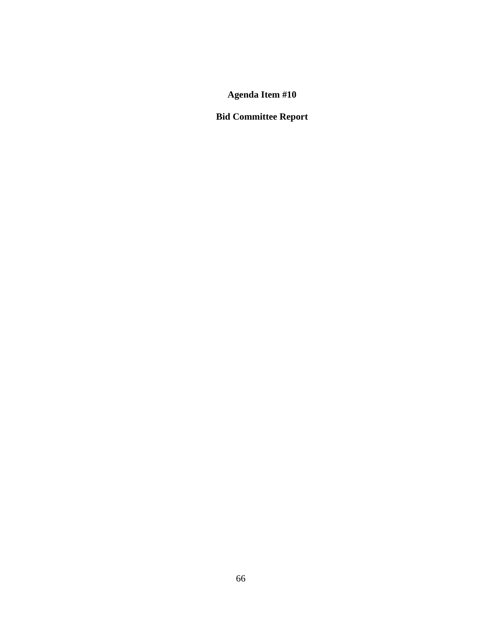**Agenda Item #10** 

**Bid Committee Report**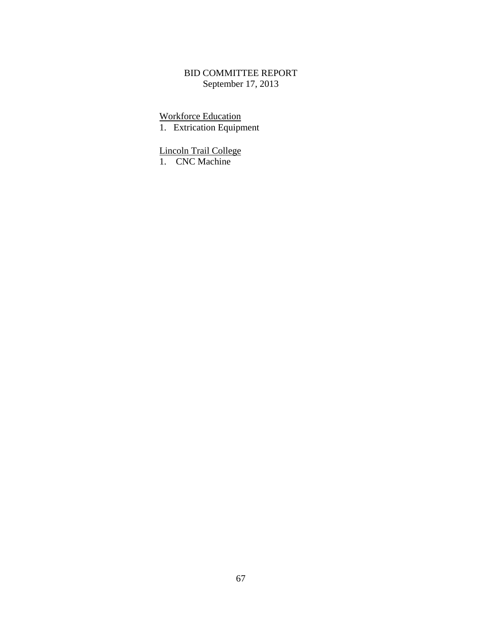# BID COMMITTEE REPORT September 17, 2013

**Workforce Education** 

1. Extrication Equipment

**Lincoln Trail College** 

1. CNC Machine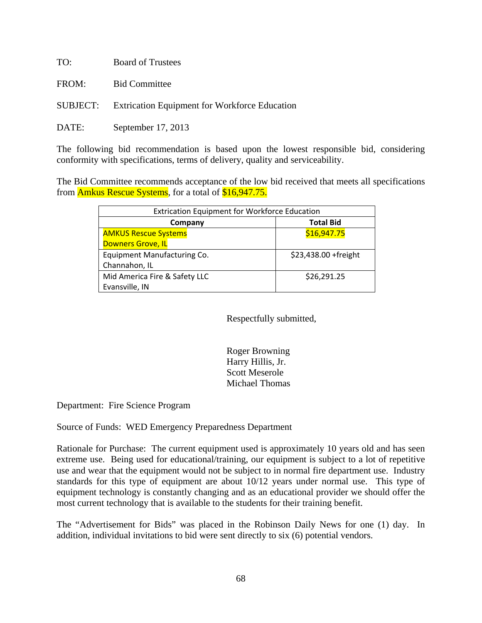| TO:   | <b>Board of Trustees</b>                                      |
|-------|---------------------------------------------------------------|
|       | FROM: Bid Committee                                           |
|       | <b>SUBJECT:</b> Extrication Equipment for Workforce Education |
| DATE: | September 17, 2013                                            |

The following bid recommendation is based upon the lowest responsible bid, considering conformity with specifications, terms of delivery, quality and serviceability.

The Bid Committee recommends acceptance of the low bid received that meets all specifications from Amkus Rescue Systems, for a total of \$16,947.75.

| <b>Extrication Equipment for Workforce Education</b> |                       |  |
|------------------------------------------------------|-----------------------|--|
| Company                                              | <b>Total Bid</b>      |  |
| <b>AMKUS Rescue Systems</b>                          | \$16,947.75           |  |
| <b>Downers Grove, IL</b>                             |                       |  |
| Equipment Manufacturing Co.                          | \$23,438.00 + freight |  |
| Channahon, IL                                        |                       |  |
| Mid America Fire & Safety LLC                        | \$26,291.25           |  |
| Evansville, IN                                       |                       |  |

Respectfully submitted,

 Roger Browning Harry Hillis, Jr. Scott Meserole Michael Thomas

Department: Fire Science Program

Source of Funds: WED Emergency Preparedness Department

Rationale for Purchase: The current equipment used is approximately 10 years old and has seen extreme use. Being used for educational/training, our equipment is subject to a lot of repetitive use and wear that the equipment would not be subject to in normal fire department use. Industry standards for this type of equipment are about 10/12 years under normal use. This type of equipment technology is constantly changing and as an educational provider we should offer the most current technology that is available to the students for their training benefit.

The "Advertisement for Bids" was placed in the Robinson Daily News for one (1) day. In addition, individual invitations to bid were sent directly to six (6) potential vendors.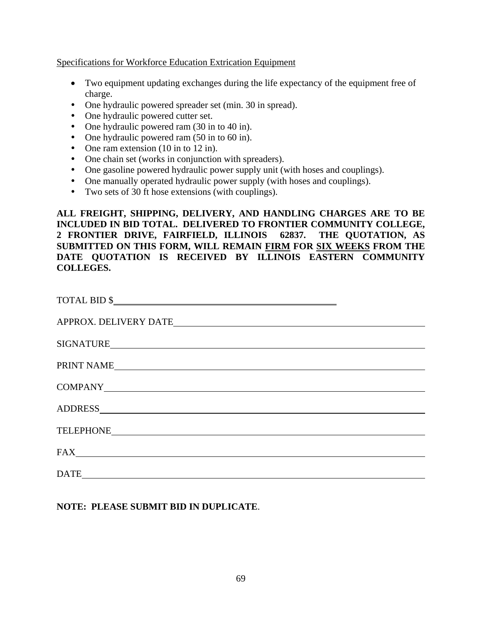Specifications for Workforce Education Extrication Equipment

- Two equipment updating exchanges during the life expectancy of the equipment free of charge.
- One hydraulic powered spreader set (min. 30 in spread).
- One hydraulic powered cutter set.
- One hydraulic powered ram (30 in to 40 in).
- One hydraulic powered ram (50 in to 60 in).
- One ram extension (10 in to 12 in).
- One chain set (works in conjunction with spreaders).
- One gasoline powered hydraulic power supply unit (with hoses and couplings).
- One manually operated hydraulic power supply (with hoses and couplings).
- Two sets of 30 ft hose extensions (with couplings).

**ALL FREIGHT, SHIPPING, DELIVERY, AND HANDLING CHARGES ARE TO BE INCLUDED IN BID TOTAL. DELIVERED TO FRONTIER COMMUNITY COLLEGE, 2 FRONTIER DRIVE, FAIRFIELD, ILLINOIS 62837. THE QUOTATION, AS SUBMITTED ON THIS FORM, WILL REMAIN FIRM FOR SIX WEEKS FROM THE DATE QUOTATION IS RECEIVED BY ILLINOIS EASTERN COMMUNITY COLLEGES.** 

| $\text{TOTAL BID} \text{ $$\text{---}$} \text{ \textbf{---} \textbf{---} \textbf{---} \textbf{---} \textbf{---} \textbf{---} \textbf{---} \textbf{---} \textbf{---} \textbf{---} \textbf{---} \textbf{---} \textbf{---} \textbf{---} \textbf{---} \textbf{---} \textbf{---} \textbf{---} \textbf{---} \textbf{---} \textbf{---} \textbf{---} \textbf{---} \textbf{---} \textbf{---} \textbf{---} \textbf{---} \textbf{---} \textbf{---} \textbf{---} \textbf{---} \textbf{---} \textbf{---} \text$ |  |
|----------------------------------------------------------------------------------------------------------------------------------------------------------------------------------------------------------------------------------------------------------------------------------------------------------------------------------------------------------------------------------------------------------------------------------------------------------------------------------------------------|--|
|                                                                                                                                                                                                                                                                                                                                                                                                                                                                                                    |  |
|                                                                                                                                                                                                                                                                                                                                                                                                                                                                                                    |  |
| PRINT NAME                                                                                                                                                                                                                                                                                                                                                                                                                                                                                         |  |
|                                                                                                                                                                                                                                                                                                                                                                                                                                                                                                    |  |
|                                                                                                                                                                                                                                                                                                                                                                                                                                                                                                    |  |
|                                                                                                                                                                                                                                                                                                                                                                                                                                                                                                    |  |
|                                                                                                                                                                                                                                                                                                                                                                                                                                                                                                    |  |
| $\begin{tabular}{c} DATE & \textbf{0} & \textbf{0} & \textbf{0} & \textbf{0} & \textbf{0} & \textbf{0} & \textbf{0} & \textbf{0} & \textbf{0} & \textbf{0} & \textbf{0} & \textbf{0} & \textbf{0} & \textbf{0} & \textbf{0} & \textbf{0} & \textbf{0} & \textbf{0} & \textbf{0} & \textbf{0} & \textbf{0} & \textbf{0} & \textbf{0} & \textbf{0} & \textbf{0} & \textbf{0} & \textbf{0} & \textbf{0} & \textbf{0} & \textbf{0}$                                                                    |  |

**NOTE: PLEASE SUBMIT BID IN DUPLICATE**.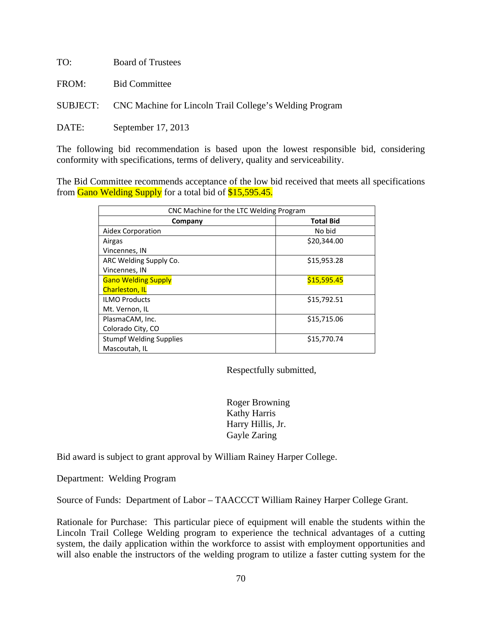| TO:   | <b>Board of Trustees</b>                                                |
|-------|-------------------------------------------------------------------------|
| FROM: | <b>Bid Committee</b>                                                    |
|       | <b>SUBJECT:</b> CNC Machine for Lincoln Trail College's Welding Program |
| DATE: | September 17, 2013                                                      |

The following bid recommendation is based upon the lowest responsible bid, considering conformity with specifications, terms of delivery, quality and serviceability.

The Bid Committee recommends acceptance of the low bid received that meets all specifications from Gano Welding Supply for a total bid of \$15,595.45.

| CNC Machine for the LTC Welding Program |                  |
|-----------------------------------------|------------------|
| Company                                 | <b>Total Bid</b> |
| Aidex Corporation                       | No bid           |
| Airgas                                  | \$20,344.00      |
| Vincennes, IN                           |                  |
| ARC Welding Supply Co.                  | \$15,953.28      |
| Vincennes, IN                           |                  |
| <b>Gano Welding Supply</b>              | \$15,595.45      |
| <b>Charleston, IL</b>                   |                  |
| <b>ILMO Products</b>                    | \$15,792.51      |
| Mt. Vernon, IL                          |                  |
| PlasmaCAM, Inc.                         | \$15,715.06      |
| Colorado City, CO                       |                  |
| <b>Stumpf Welding Supplies</b>          | \$15,770.74      |
| Mascoutah, IL                           |                  |

Respectfully submitted,

 Roger Browning Kathy Harris Harry Hillis, Jr. Gayle Zaring

Bid award is subject to grant approval by William Rainey Harper College.

Department: Welding Program

Source of Funds: Department of Labor – TAACCCT William Rainey Harper College Grant.

Rationale for Purchase: This particular piece of equipment will enable the students within the Lincoln Trail College Welding program to experience the technical advantages of a cutting system, the daily application within the workforce to assist with employment opportunities and will also enable the instructors of the welding program to utilize a faster cutting system for the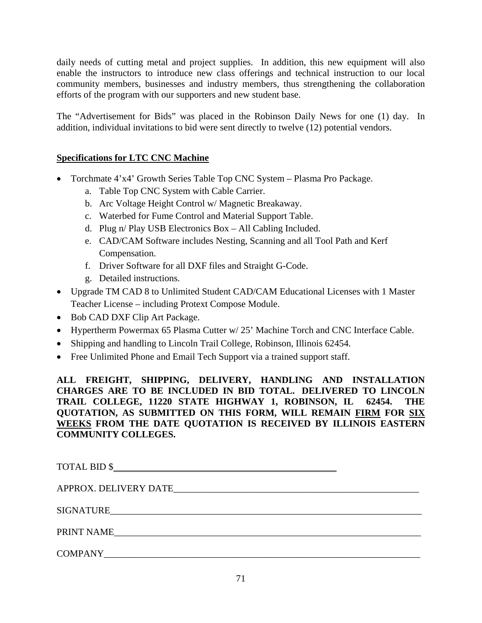daily needs of cutting metal and project supplies. In addition, this new equipment will also enable the instructors to introduce new class offerings and technical instruction to our local community members, businesses and industry members, thus strengthening the collaboration efforts of the program with our supporters and new student base.

The "Advertisement for Bids" was placed in the Robinson Daily News for one (1) day. In addition, individual invitations to bid were sent directly to twelve (12) potential vendors.

# **Specifications for LTC CNC Machine**

- Torchmate 4'x4' Growth Series Table Top CNC System Plasma Pro Package.
	- a. Table Top CNC System with Cable Carrier.
	- b. Arc Voltage Height Control w/ Magnetic Breakaway.
	- c. Waterbed for Fume Control and Material Support Table.
	- d. Plug n/ Play USB Electronics Box All Cabling Included.
	- e. CAD/CAM Software includes Nesting, Scanning and all Tool Path and Kerf Compensation.
	- f. Driver Software for all DXF files and Straight G-Code.
	- g. Detailed instructions.
- Upgrade TM CAD 8 to Unlimited Student CAD/CAM Educational Licenses with 1 Master Teacher License – including Protext Compose Module.
- Bob CAD DXF Clip Art Package.
- Hypertherm Powermax 65 Plasma Cutter w/ 25' Machine Torch and CNC Interface Cable.
- Shipping and handling to Lincoln Trail College, Robinson, Illinois 62454.
- Free Unlimited Phone and Email Tech Support via a trained support staff.

**ALL FREIGHT, SHIPPING, DELIVERY, HANDLING AND INSTALLATION CHARGES ARE TO BE INCLUDED IN BID TOTAL. DELIVERED TO LINCOLN TRAIL COLLEGE, 11220 STATE HIGHWAY 1, ROBINSON, IL 62454. THE QUOTATION, AS SUBMITTED ON THIS FORM, WILL REMAIN FIRM FOR SIX WEEKS FROM THE DATE QUOTATION IS RECEIVED BY ILLINOIS EASTERN COMMUNITY COLLEGES.** 

| COMPANY COMPANY |  |
|-----------------|--|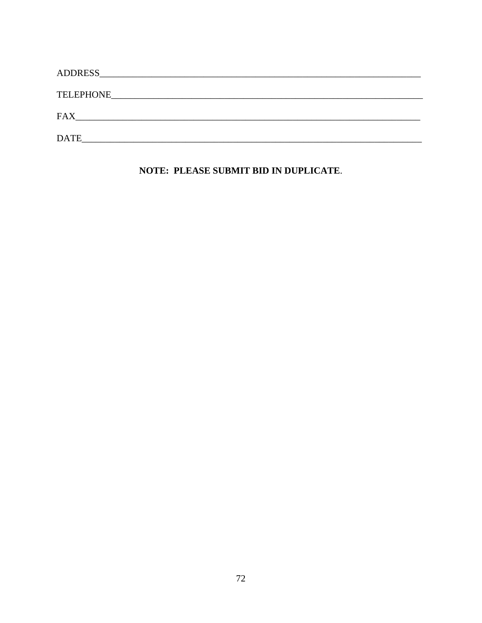| TELEPHONE   |
|-------------|
| <b>FAX</b>  |
| <b>DATE</b> |

NOTE: PLEASE SUBMIT BID IN DUPLICATE.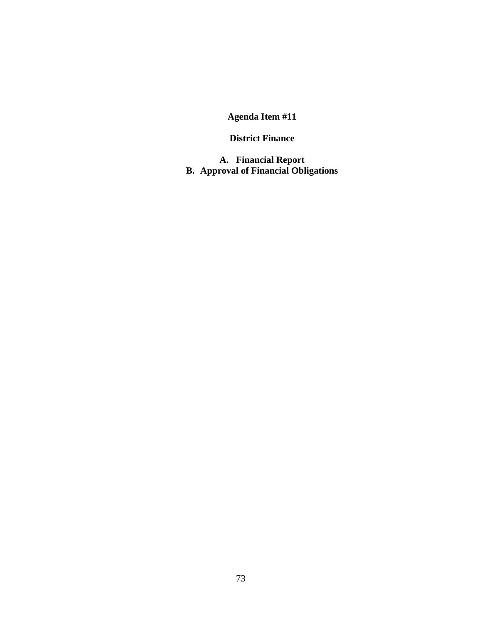### **District Finance**

**A. Financial Report B. Approval of Financial Obligations**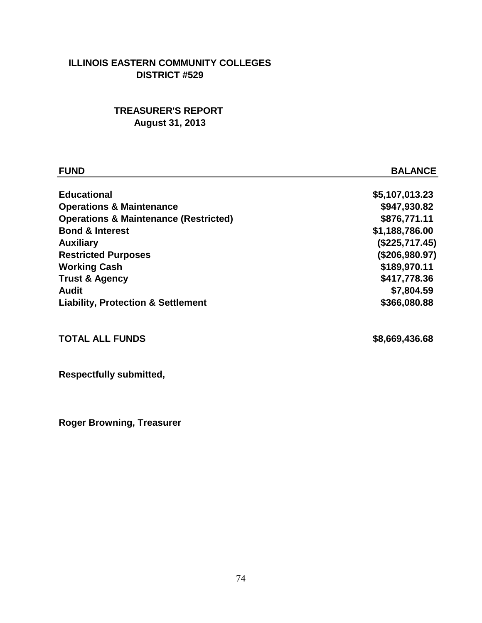## **ILLINOIS EASTERN COMMUNITY COLLEGES DISTRICT #529**

## **TREASURER'S REPORT August 31, 2013**

| <b>FUND</b>                                      | <b>BALANCE</b> |
|--------------------------------------------------|----------------|
|                                                  |                |
| <b>Educational</b>                               | \$5,107,013.23 |
| <b>Operations &amp; Maintenance</b>              | \$947,930.82   |
| <b>Operations &amp; Maintenance (Restricted)</b> | \$876,771.11   |
| <b>Bond &amp; Interest</b>                       | \$1,188,786.00 |
| <b>Auxiliary</b>                                 | (\$225,717.45) |
| <b>Restricted Purposes</b>                       | (\$206,980.97) |
| <b>Working Cash</b>                              | \$189,970.11   |
| <b>Trust &amp; Agency</b>                        | \$417,778.36   |
| Audit                                            | \$7,804.59     |
| <b>Liability, Protection &amp; Settlement</b>    | \$366,080.88   |
| <b>TOTAL ALL FUNDS</b>                           | \$8,669,436.68 |
|                                                  |                |

**Respectfully submitted,**

**Roger Browning, Treasurer**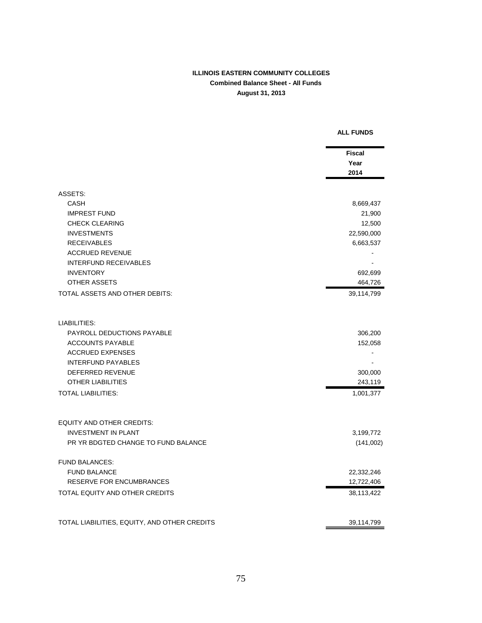#### **ILLINOIS EASTERN COMMUNITY COLLEGES Combined Balance Sheet - All Funds August 31, 2013**

**ALL FUNDS**

## **Fiscal Year 2014** ASSETS:  $\begin{array}{ccc} \text{CASH} & & \text{8,669,437} \end{array}$  IMPREST FUND 21,900 CHECK CLEARING 2.500 INVESTMENTS 22,590,000 RECEIVABLES 6,663,537 ACCRUED REVENUE AND THE SERVE OF THE SERVE OF THE SERVE OF THE SERVE OF THE SERVE OF THE SERVE OF THE SERVE OF INTERFUND RECEIVABLES - INVENTORY 692,699 OTHER ASSETS 464,726 TOTAL ASSETS AND OTHER DEBITS: 39,114,799 LIABILITIES: PAYROLL DEDUCTIONS PAYABLE 306,200 ACCOUNTS PAYABLE 152,058 ACCRUED EXPENSES AND THE SERVICE SERVICE SERVICE SERVICE SERVICE SERVICE SERVICE SERVICE SERVICE SERVICE SERVICE SERVICE SERVICE SERVICE SERVICE SERVICE SERVICE SERVICE SERVICE SERVICE SERVICE SERVICE SERVICE SERVICE SERVI **INTERFUND PAYABLES FIND ASSAULTS**  DEFERRED REVENUE 300,000 OTHER LIABILITIES 243,119 TOTAL LIABILITIES: 1,001,377 EQUITY AND OTHER CREDITS: INVESTMENT IN PLANT **AND SET ASSAULT** 2,199,772 PR YR BDGTED CHANGE TO FUND BALANCE (141,002) FUND BALANCES: FUND BALANCE 22,332,246 RESERVE FOR ENCUMBRANCES 12,722,406 TOTAL EQUITY AND OTHER CREDITS **38,113,422** TOTAL LIABILITIES, EQUITY, AND OTHER CREDITS 39,114,799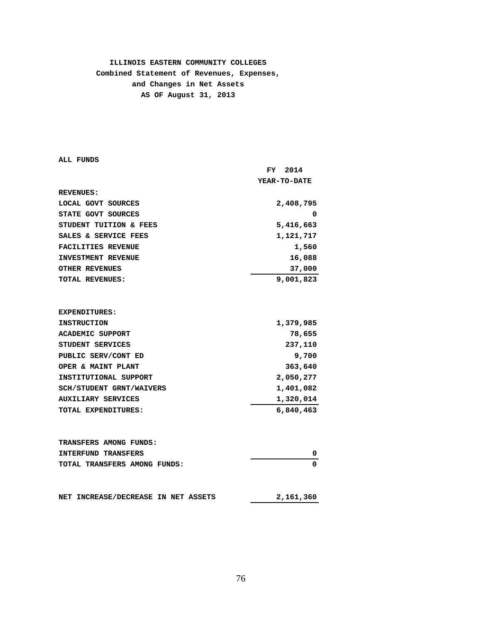### **ILLINOIS EASTERN COMMUNITY COLLEGES Combined Statement of Revenues, Expenses, and Changes in Net Assets AS OF August 31, 2013**

**ALL FUNDS**

|                                            | FY<br>2014          |
|--------------------------------------------|---------------------|
|                                            | <b>YEAR-TO-DATE</b> |
| <b>REVENUES:</b>                           |                     |
| LOCAL GOVT SOURCES                         | 2,408,795           |
| STATE GOVT SOURCES                         | 0                   |
| STUDENT TUITION & FEES                     | 5,416,663           |
| SALES & SERVICE FEES                       | 1,121,717           |
| <b>FACILITIES REVENUE</b>                  | 1,560               |
| <b>INVESTMENT REVENUE</b>                  | 16,088              |
| <b>OTHER REVENUES</b>                      | 37,000              |
| TOTAL REVENUES:                            | 9,001,823           |
|                                            |                     |
| <b>EXPENDITURES:</b>                       |                     |
| <b>INSTRUCTION</b>                         | 1,379,985           |
| <b>ACADEMIC SUPPORT</b>                    | 78,655              |
| STUDENT SERVICES                           | 237,110             |
| PUBLIC SERV/CONT ED                        | 9,700               |
| OPER & MAINT PLANT                         | 363,640             |
| INSTITUTIONAL SUPPORT                      | 2,050,277           |
| <b>SCH/STUDENT GRNT/WAIVERS</b>            | 1,401,082           |
| <b>AUXILIARY SERVICES</b>                  | 1,320,014           |
| TOTAL EXPENDITURES:                        | 6,840,463           |
|                                            |                     |
| TRANSFERS AMONG FUNDS:                     |                     |
| <b>INTERFUND TRANSFERS</b>                 | 0                   |
| TOTAL TRANSFERS AMONG FUNDS:               | $\Omega$            |
| <b>NET INCREASE/DECREASE IN NET ASSETS</b> | 2,161,360           |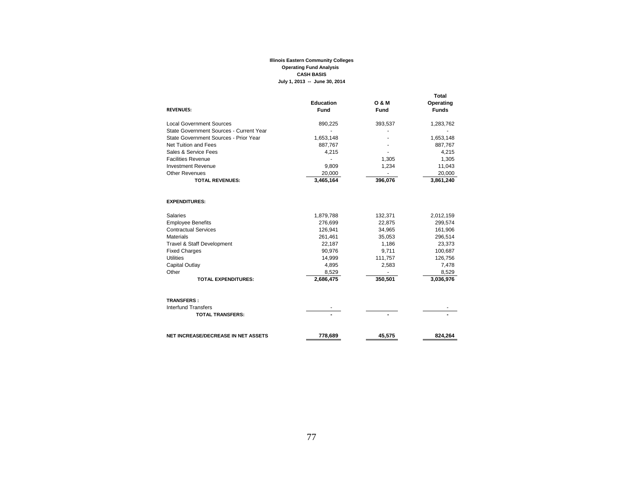#### **Illinois Eastern Community Colleges Operating Fund Analysis CASH BASISJuly 1, 2013 -- June 30, 2014**

| <b>REVENUES:</b>                           | Education<br>Fund | <b>O &amp; M</b><br>Fund | Total<br>Operating<br><b>Funds</b> |
|--------------------------------------------|-------------------|--------------------------|------------------------------------|
| <b>Local Government Sources</b>            | 890,225           | 393,537                  | 1,283,762                          |
| State Government Sources - Current Year    |                   |                          |                                    |
| State Government Sources - Prior Year      | 1,653,148         |                          | 1,653,148                          |
| Net Tuition and Fees                       | 887,767           |                          | 887,767                            |
| Sales & Service Fees                       | 4,215             |                          | 4,215                              |
| <b>Facilities Revenue</b>                  |                   | 1,305                    | 1,305                              |
| <b>Investment Revenue</b>                  | 9,809             | 1,234                    | 11,043                             |
| <b>Other Revenues</b>                      | 20,000            |                          | 20,000                             |
| <b>TOTAL REVENUES:</b>                     | 3,465,164         | 396,076                  | 3,861,240                          |
| <b>EXPENDITURES:</b>                       |                   |                          |                                    |
| <b>Salaries</b>                            | 1,879,788         | 132,371                  | 2,012,159                          |
| <b>Employee Benefits</b>                   | 276,699           | 22,875                   | 299,574                            |
| <b>Contractual Services</b>                | 126,941           | 34,965                   | 161,906                            |
| <b>Materials</b>                           | 261,461           | 35,053                   | 296,514                            |
| Travel & Staff Development                 | 22,187            | 1,186                    | 23,373                             |
| <b>Fixed Charges</b>                       | 90,976            | 9,711                    | 100,687                            |
| Utilities                                  | 14,999            | 111,757                  | 126,756                            |
| Capital Outlay                             | 4,895             | 2,583                    | 7,478                              |
| Other                                      | 8,529             |                          | 8,529                              |
| <b>TOTAL EXPENDITURES:</b>                 | 2,686,475         | 350,501                  | 3,036,976                          |
| <b>TRANSFERS:</b>                          |                   |                          |                                    |
| Interfund Transfers                        |                   |                          |                                    |
| <b>TOTAL TRANSFERS:</b>                    |                   |                          |                                    |
| <b>NET INCREASE/DECREASE IN NET ASSETS</b> | 778.689           | 45,575                   | 824.264                            |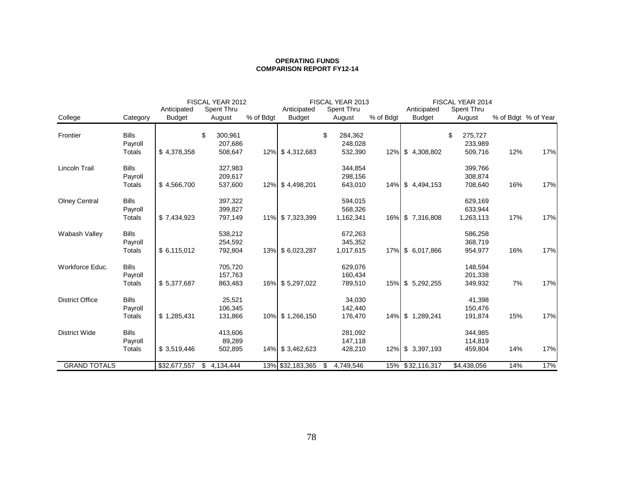#### **OPERATING FUNDSCOMPARISON REPORT FY12-14**

|                        |               | FISCAL YEAR 2012 |               | FISCAL YEAR 2013 |                  |                 | FISCAL YEAR 2014 |                  |               |     |                     |
|------------------------|---------------|------------------|---------------|------------------|------------------|-----------------|------------------|------------------|---------------|-----|---------------------|
|                        |               | Anticipated      | Spent Thru    |                  | Anticipated      | Spent Thru      |                  | Anticipated      | Spent Thru    |     |                     |
| College                | Category      | <b>Budget</b>    | August        | % of Bdgt        | <b>Budget</b>    | August          | % of Bdgt        | <b>Budget</b>    | August        |     | % of Bdgt % of Year |
| Frontier               | <b>Bills</b>  |                  | \$<br>300,961 |                  |                  | 284,362<br>\$   |                  |                  | \$<br>275,727 |     |                     |
|                        | Payroll       |                  | 207,686       |                  |                  | 248,028         |                  |                  | 233,989       |     |                     |
|                        | Totals        | \$4,378,358      | 508,647       |                  | 12% \$4,312,683  | 532,390         |                  | 12% \$4,308,802  | 509,716       | 12% | 17%                 |
| Lincoln Trail          | <b>Bills</b>  |                  | 327,983       |                  |                  | 344,854         |                  |                  | 399,766       |     |                     |
|                        | Payroll       |                  | 209,617       |                  |                  | 298,156         |                  |                  | 308,874       |     |                     |
|                        | Totals        | \$4,566,700      | 537,600       |                  | 12% \$4,498,201  | 643,010         |                  | 14% \$4,494,153  | 708,640       | 16% | 17%                 |
| <b>Olney Central</b>   | <b>Bills</b>  |                  | 397,322       |                  |                  | 594,015         |                  |                  | 629,169       |     |                     |
|                        | Payroll       |                  | 399,827       |                  |                  | 568,326         |                  |                  | 633,944       |     |                     |
|                        | Totals        | \$7,434,923      | 797,149       |                  | 11% \$7,323,399  | 1,162,341       |                  | 16% \$7,316,808  | 1,263,113     | 17% | 17%                 |
| Wabash Valley          | <b>Bills</b>  |                  | 538,212       |                  |                  | 672,263         |                  |                  | 586,258       |     |                     |
|                        | Payroll       |                  | 254,592       |                  |                  | 345,352         |                  |                  | 368,719       |     |                     |
|                        | Totals        | \$6,115,012      | 792,804       |                  | 13% \$ 6,023,287 | 1,017,615       |                  | 17% \$ 6,017,866 | 954,977       | 16% | 17%                 |
| Workforce Educ.        | <b>Bills</b>  |                  | 705,720       |                  |                  | 629,076         |                  |                  | 148,594       |     |                     |
|                        | Payroll       |                  | 157,763       |                  |                  | 160,434         |                  |                  | 201,338       |     |                     |
|                        | <b>Totals</b> | \$5,377,687      | 863,483       |                  | 16% \$5,297,022  | 789,510         |                  | 15% \$ 5,292,255 | 349,932       | 7%  | 17%                 |
| <b>District Office</b> | <b>Bills</b>  |                  | 25,521        |                  |                  | 34,030          |                  |                  | 41,398        |     |                     |
|                        | Payroll       |                  | 106,345       |                  |                  | 142,440         |                  |                  | 150,476       |     |                     |
|                        | Totals        | \$1,285,431      | 131,866       |                  | 10% \$1,266,150  | 176,470         |                  | 14% \$1,289,241  | 191,874       | 15% | 17%                 |
| <b>District Wide</b>   | <b>Bills</b>  |                  | 413,606       |                  |                  | 281,092         |                  |                  | 344,985       |     |                     |
|                        | Payroll       |                  | 89,289        |                  |                  | 147,118         |                  |                  | 114,819       |     |                     |
|                        | Totals        | \$3,519,446      | 502,895       |                  | 14% \$3,462,623  | 428,210         | 12%              | \$3,397,193      | 459,804       | 14% | 17%                 |
| <b>GRAND TOTALS</b>    |               | \$32,677,557     | \$4,134,444   |                  | 13% \$32,183,365 | 4,749,546<br>\$ |                  | 15% \$32,116,317 | \$4,438,056   | 14% | 17%                 |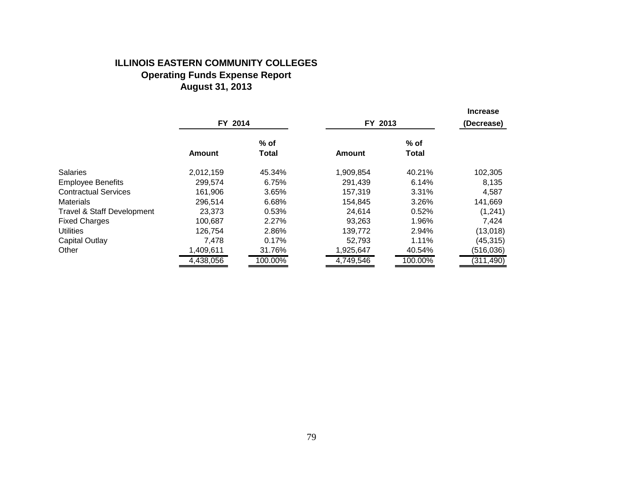### **ILLINOIS EASTERN COMMUNITY COLLEGES Operating Funds Expense Report August 31, 2013**

|                                       |           |              |               |         | <b>Increase</b> |  |
|---------------------------------------|-----------|--------------|---------------|---------|-----------------|--|
|                                       | FY 2014   |              |               | FY 2013 |                 |  |
|                                       |           | $%$ of       |               | $%$ of  |                 |  |
|                                       | Amount    | <b>Total</b> | <b>Amount</b> | Total   |                 |  |
| Salaries                              | 2,012,159 | 45.34%       | 1,909,854     | 40.21%  | 102,305         |  |
| <b>Employee Benefits</b>              | 299,574   | 6.75%        | 291,439       | 6.14%   | 8,135           |  |
| <b>Contractual Services</b>           | 161,906   | 3.65%        | 157,319       | 3.31%   | 4,587           |  |
| Materials                             | 296,514   | 6.68%        | 154,845       | 3.26%   | 141,669         |  |
| <b>Travel &amp; Staff Development</b> | 23.373    | 0.53%        | 24,614        | 0.52%   | (1,241)         |  |
| <b>Fixed Charges</b>                  | 100,687   | 2.27%        | 93,263        | 1.96%   | 7,424           |  |
| Utilities                             | 126.754   | 2.86%        | 139,772       | 2.94%   | (13,018)        |  |
| Capital Outlay                        | 7.478     | 0.17%        | 52,793        | 1.11%   | (45, 315)       |  |
| Other                                 | 1,409,611 | 31.76%       | 1,925,647     | 40.54%  | (516, 036)      |  |
|                                       | 4,438,056 | 100.00%      | 4,749,546     | 100.00% | (311, 490)      |  |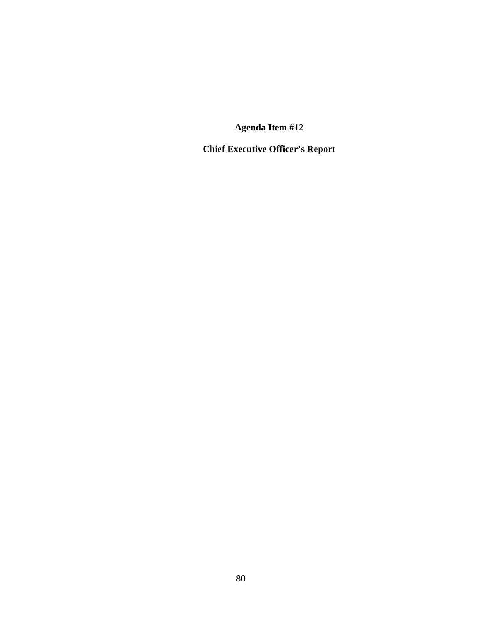**Chief Executive Officer's Report**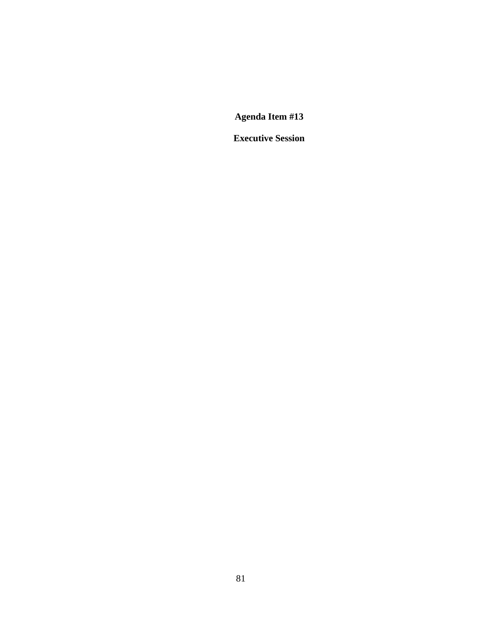**Executive Session**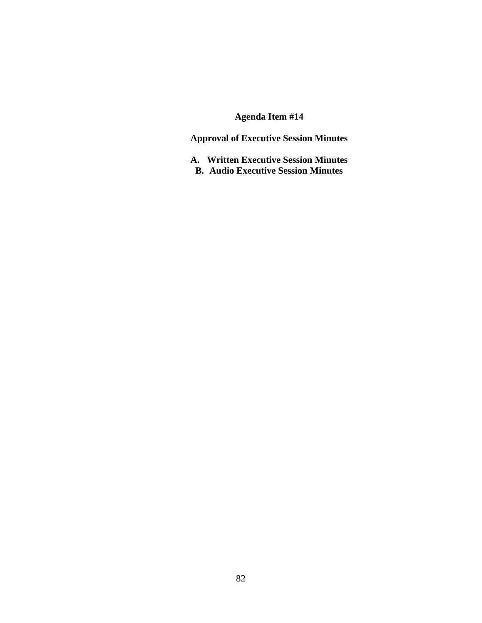**Approval of Executive Session Minutes** 

**A. Written Executive Session Minutes B. Audio Executive Session Minutes**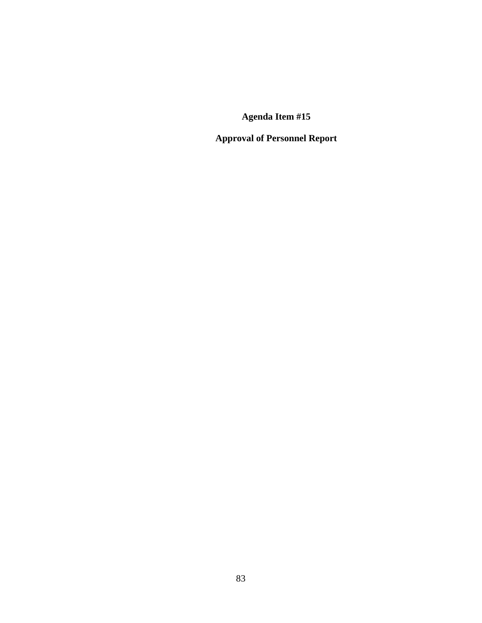**Approval of Personnel Report**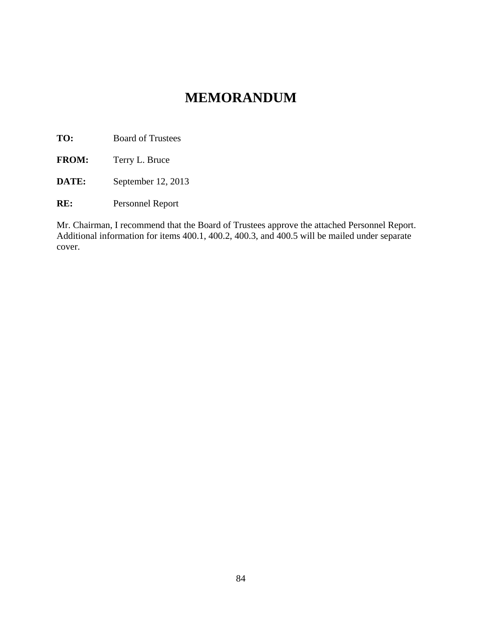# **MEMORANDUM**

**TO:** Board of Trustees

**FROM:** Terry L. Bruce

**DATE:** September 12, 2013

**RE:** Personnel Report

Mr. Chairman, I recommend that the Board of Trustees approve the attached Personnel Report. Additional information for items 400.1, 400.2, 400.3, and 400.5 will be mailed under separate cover.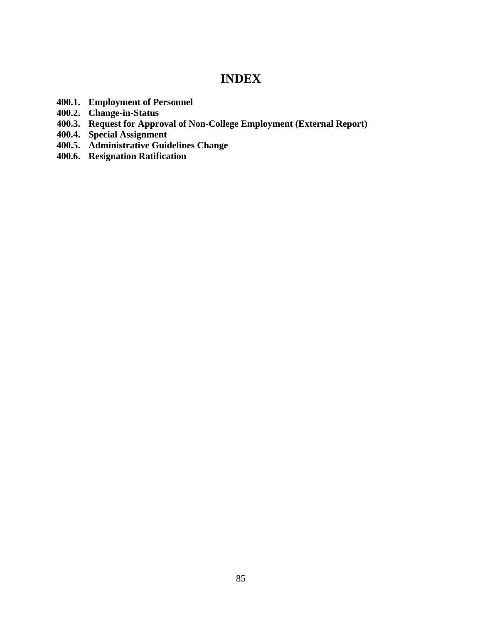## **INDEX**

- **400.1. Employment of Personnel**
- **400.2. Change-in-Status**
- **400.3. Request for Approval of Non-College Employment (External Report)**
- **400.4. Special Assignment**
- **400.5. Administrative Guidelines Change**
- **400.6. Resignation Ratification**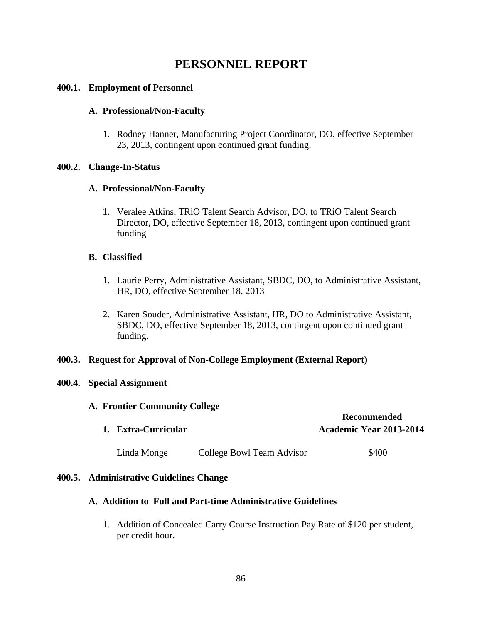## **PERSONNEL REPORT**

### **400.1. Employment of Personnel**

#### **A. Professional/Non-Faculty**

1. Rodney Hanner, Manufacturing Project Coordinator, DO, effective September 23, 2013, contingent upon continued grant funding.

#### **400.2. Change-In-Status**

#### **A. Professional/Non-Faculty**

1. Veralee Atkins, TRiO Talent Search Advisor, DO, to TRiO Talent Search Director, DO, effective September 18, 2013, contingent upon continued grant funding

### **B. Classified**

- 1. Laurie Perry, Administrative Assistant, SBDC, DO, to Administrative Assistant, HR, DO, effective September 18, 2013
- 2. Karen Souder, Administrative Assistant, HR, DO to Administrative Assistant, SBDC, DO, effective September 18, 2013, contingent upon continued grant funding.

### **400.3. Request for Approval of Non-College Employment (External Report)**

### **400.4. Special Assignment**

#### **A. Frontier Community College**

| 1. Extra-Curricular |                           | <b>Recommended</b><br><b>Academic Year 2013-2014</b> |
|---------------------|---------------------------|------------------------------------------------------|
| Linda Monge         | College Bowl Team Advisor | \$400                                                |

#### **400.5. Administrative Guidelines Change**

#### **A. Addition to Full and Part-time Administrative Guidelines**

1. Addition of Concealed Carry Course Instruction Pay Rate of \$120 per student, per credit hour.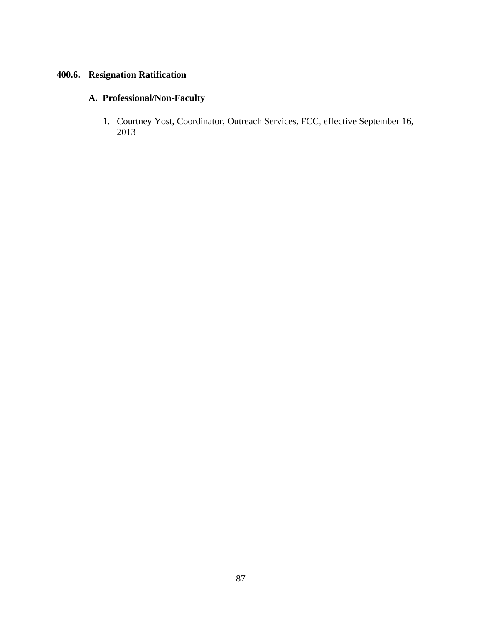## **400.6. Resignation Ratification**

## **A. Professional/Non-Faculty**

1. Courtney Yost, Coordinator, Outreach Services, FCC, effective September 16, 2013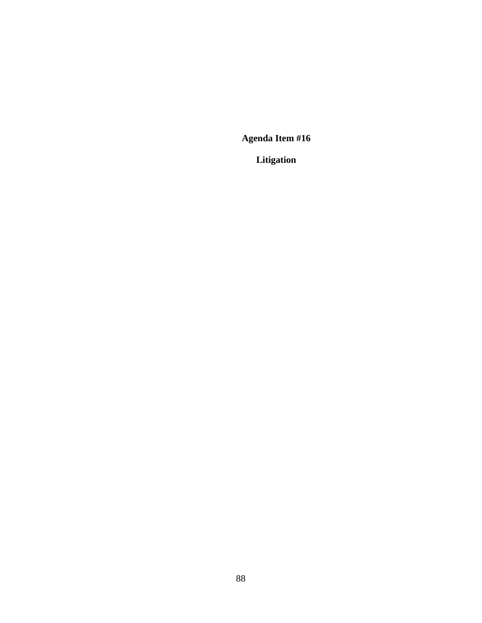**Litigation**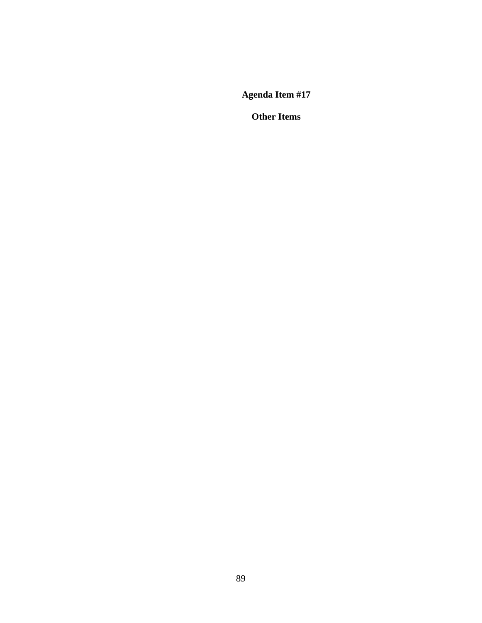**Other Items**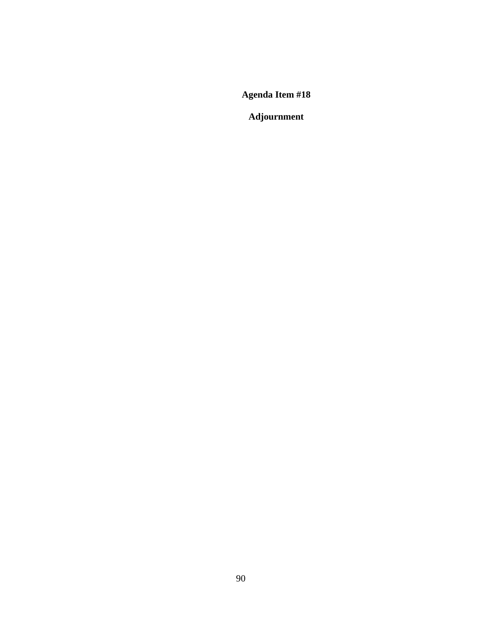**Adjournment**